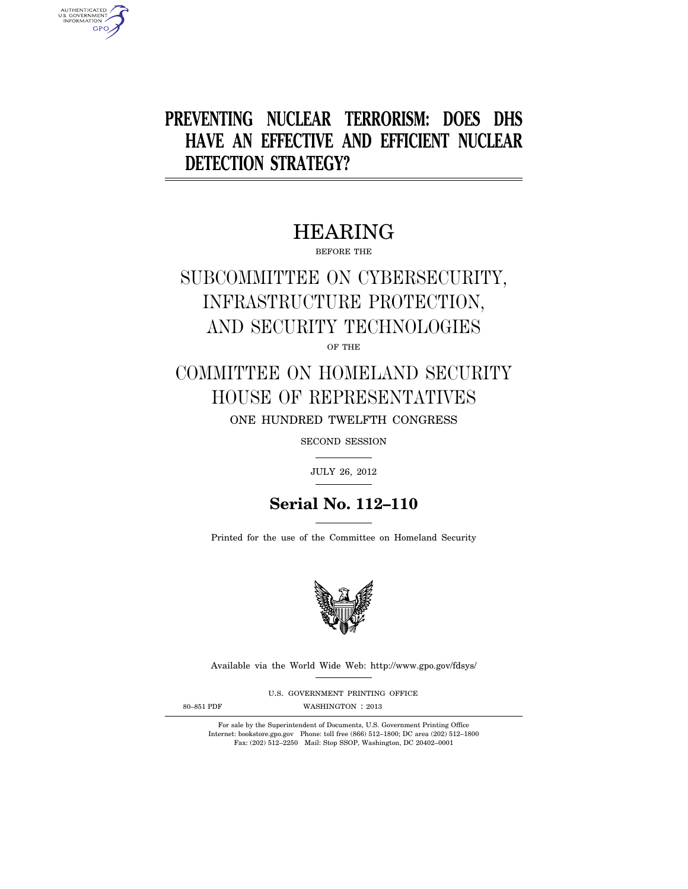# **PREVENTING NUCLEAR TERRORISM: DOES DHS HAVE AN EFFECTIVE AND EFFICIENT NUCLEAR DETECTION STRATEGY?**

# HEARING

BEFORE THE

# SUBCOMMITTEE ON CYBERSECURITY, INFRASTRUCTURE PROTECTION, AND SECURITY TECHNOLOGIES

OF THE

## COMMITTEE ON HOMELAND SECURITY HOUSE OF REPRESENTATIVES ONE HUNDRED TWELFTH CONGRESS

SECOND SESSION

JULY 26, 2012

## **Serial No. 112–110**

Printed for the use of the Committee on Homeland Security



Available via the World Wide Web: http://www.gpo.gov/fdsys/

U.S. GOVERNMENT PRINTING OFFICE

AUTHENTICATED<br>U.S. GOVERNMENT<br>INFORMATION **GPO** 

80-851 PDF WASHINGTON : 2013

For sale by the Superintendent of Documents, U.S. Government Printing Office Internet: bookstore.gpo.gov Phone: toll free (866) 512–1800; DC area (202) 512–1800 Fax: (202) 512–2250 Mail: Stop SSOP, Washington, DC 20402–0001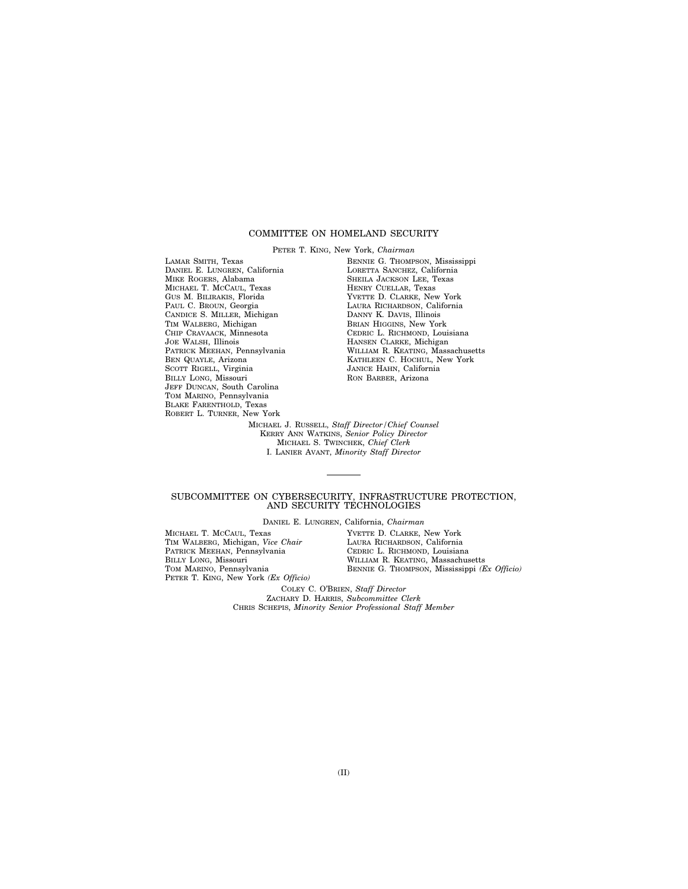#### COMMITTEE ON HOMELAND SECURITY

PETER T. KING, New York, *Chairman*  LAMAR SMITH, Texas DANIEL E. LUNGREN, California MIKE ROGERS, Alabama MICHAEL T. MCCAUL, Texas GUS M. BILIRAKIS, Florida PAUL C. BROUN, Georgia CANDICE S. MILLER, Michigan TIM WALBERG, Michigan CHIP CRAVAACK, Minnesota JOE WALSH, Illinois PATRICK MEEHAN, Pennsylvania BEN QUAYLE, Arizona SCOTT RIGELL, Virginia BILLY LONG, Missouri JEFF DUNCAN, South Carolina TOM MARINO, Pennsylvania BLAKE FARENTHOLD, Texas ROBERT L. TURNER, New York

BENNIE G. THOMPSON, Mississippi LORETTA SANCHEZ, California SHEILA JACKSON LEE, Texas HENRY CUELLAR, Texas YVETTE D. CLARKE, New York LAURA RICHARDSON, California DANNY K. DAVIS, Illinois BRIAN HIGGINS, New York CEDRIC L. RICHMOND, Louisiana HANSEN CLARKE, Michigan WILLIAM R. KEATING, Massachusetts KATHLEEN C. HOCHUL, New York JANICE HAHN, California RON BARBER, Arizona

MICHAEL J. RUSSELL, *Staff Director/Chief Counsel*  KERRY ANN WATKINS, *Senior Policy Director*  MICHAEL S. TWINCHEK, *Chief Clerk*  I. LANIER AVANT, *Minority Staff Director* 

#### SUBCOMMITTEE ON CYBERSECURITY, INFRASTRUCTURE PROTECTION, AND SECURITY TECHNOLOGIES

DANIEL E. LUNGREN, California, *Chairman* 

MICHAEL T. MCCAUL, Texas TIM WALBERG, Michigan, *Vice Chair*  PATRICK MEEHAN, Pennsylvania BILLY LONG, Missouri TOM MARINO, Pennsylvania PETER T. KING, New York *(Ex Officio)*  YVETTE D. CLARKE, New York LAURA RICHARDSON, California CEDRIC L. RICHMOND, Louisiana WILLIAM R. KEATING, Massachusetts BENNIE G. THOMPSON, Mississippi *(Ex Officio)* 

COLEY C. O'BRIEN, *Staff Director*  ZACHARY D. HARRIS, *Subcommittee Clerk*  CHRIS SCHEPIS, *Minority Senior Professional Staff Member*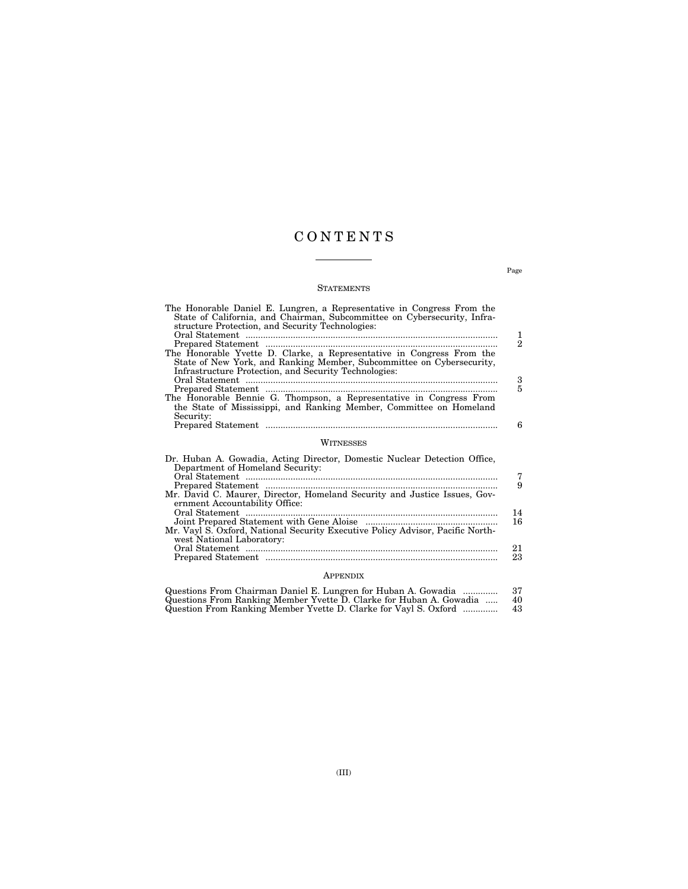## C O N T E N T S

#### **STATEMENTS**

| The Honorable Daniel E. Lungren, a Representative in Congress From the<br>State of California, and Chairman, Subcommittee on Cybersecurity, Infra-<br>structure Protection, and Security Technologies:  | 1              |
|---------------------------------------------------------------------------------------------------------------------------------------------------------------------------------------------------------|----------------|
|                                                                                                                                                                                                         | $\overline{2}$ |
| The Honorable Yvette D. Clarke, a Representative in Congress From the<br>State of New York, and Ranking Member, Subcommittee on Cybersecurity,<br>Infrastructure Protection, and Security Technologies: |                |
|                                                                                                                                                                                                         | 3              |
| The Honorable Bennie G. Thompson, a Representative in Congress From<br>the State of Mississippi, and Ranking Member, Committee on Homeland<br>Security:                                                 | 5              |
|                                                                                                                                                                                                         | 6              |
| WITNESSES                                                                                                                                                                                               |                |
| Dr. Huban A. Gowadia, Acting Director, Domestic Nuclear Detection Office,<br>Department of Homeland Security:                                                                                           |                |
|                                                                                                                                                                                                         | 7              |
| Prepared Statement<br>Mr. David C. Maurer, Director, Homeland Security and Justice Issues, Gov-                                                                                                         | 9              |
| ernment Accountability Office:                                                                                                                                                                          |                |
| Oral Statement                                                                                                                                                                                          | 14<br>16       |
| Mr. Vayl S. Oxford, National Security Executive Policy Advisor, Pacific North-                                                                                                                          |                |
| west National Laboratory:                                                                                                                                                                               |                |
|                                                                                                                                                                                                         | 21             |

### Prepared Statement ............................................................................................. 23 APPENDIX

| Questions From Chairman Daniel E. Lungren for Huban A. Gowadia      | -37 |
|---------------------------------------------------------------------|-----|
| Questions From Ranking Member Yvette D. Clarke for Huban A. Gowadia | 40  |
| Question From Ranking Member Yvette D. Clarke for Vayl S. Oxford    | 43  |

Page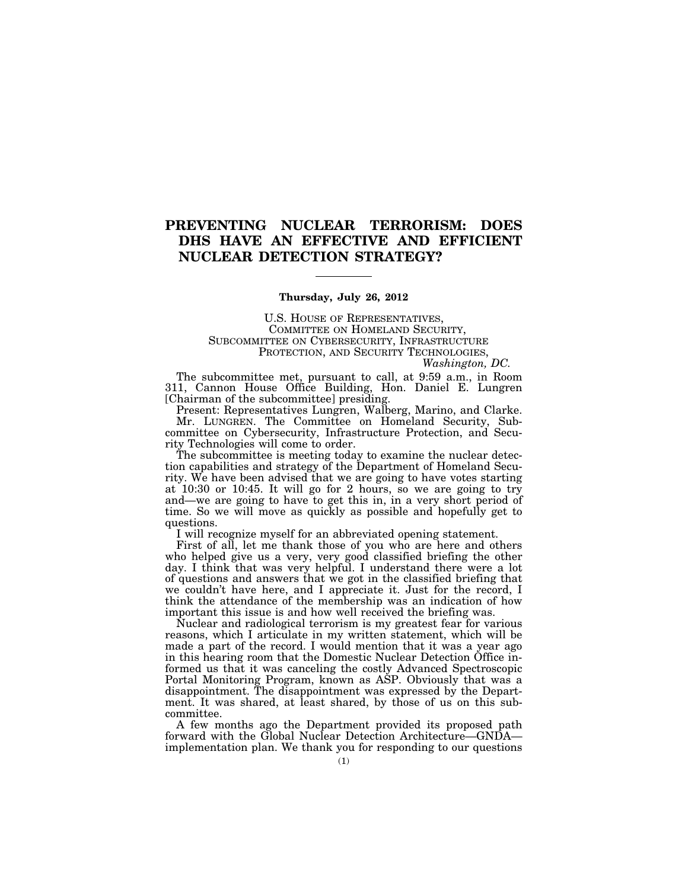### **PREVENTING NUCLEAR TERRORISM: DOES DHS HAVE AN EFFECTIVE AND EFFICIENT NUCLEAR DETECTION STRATEGY?**

#### **Thursday, July 26, 2012**

U.S. HOUSE OF REPRESENTATIVES, COMMITTEE ON HOMELAND SECURITY, SUBCOMMITTEE ON CYBERSECURITY, INFRASTRUCTURE PROTECTION, AND SECURITY TECHNOLOGIES,

*Washington, DC.* 

The subcommittee met, pursuant to call, at 9:59 a.m., in Room 311, Cannon House Office Building, Hon. Daniel E. Lungren [Chairman of the subcommittee] presiding.

Present: Representatives Lungren, Walberg, Marino, and Clarke. Mr. LUNGREN. The Committee on Homeland Security, Subcommittee on Cybersecurity, Infrastructure Protection, and Security Technologies will come to order.

The subcommittee is meeting today to examine the nuclear detection capabilities and strategy of the Department of Homeland Security. We have been advised that we are going to have votes starting at  $10:30$  or 10:45. It will go for 2 hours, so we are going to try and—we are going to have to get this in, in a very short period of time. So we will move as quickly as possible and hopefully get to questions.

I will recognize myself for an abbreviated opening statement.

First of all, let me thank those of you who are here and others who helped give us a very, very good classified briefing the other day. I think that was very helpful. I understand there were a lot of questions and answers that we got in the classified briefing that we couldn't have here, and I appreciate it. Just for the record, I think the attendance of the membership was an indication of how important this issue is and how well received the briefing was.

Nuclear and radiological terrorism is my greatest fear for various reasons, which I articulate in my written statement, which will be made a part of the record. I would mention that it was a year ago in this hearing room that the Domestic Nuclear Detection Office informed us that it was canceling the costly Advanced Spectroscopic Portal Monitoring Program, known as ASP. Obviously that was a disappointment. The disappointment was expressed by the Department. It was shared, at least shared, by those of us on this subcommittee.

A few months ago the Department provided its proposed path forward with the Global Nuclear Detection Architecture—GNDA implementation plan. We thank you for responding to our questions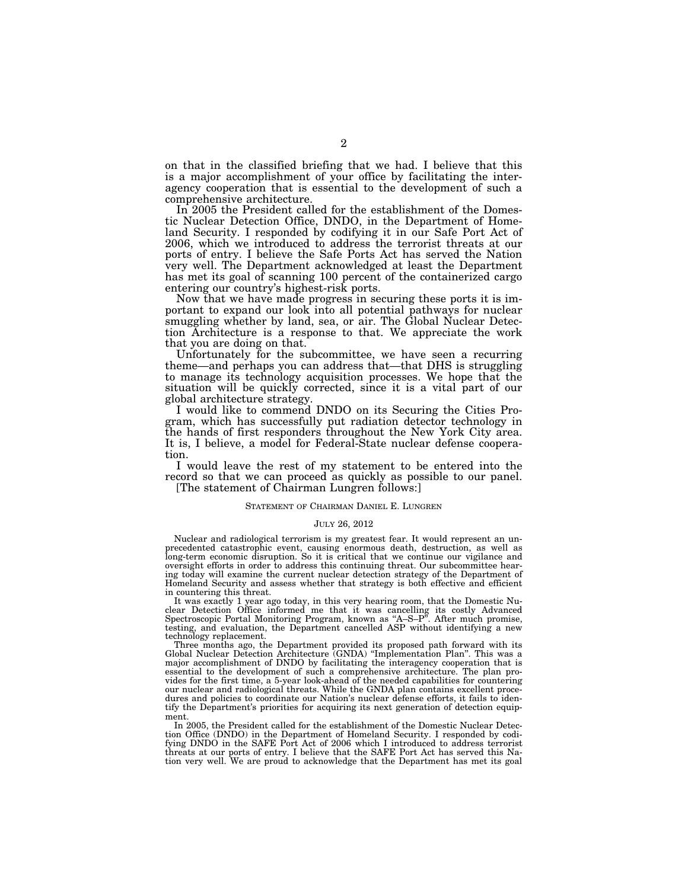on that in the classified briefing that we had. I believe that this is a major accomplishment of your office by facilitating the interagency cooperation that is essential to the development of such a comprehensive architecture.

In 2005 the President called for the establishment of the Domestic Nuclear Detection Office, DNDO, in the Department of Homeland Security. I responded by codifying it in our Safe Port Act of 2006, which we introduced to address the terrorist threats at our ports of entry. I believe the Safe Ports Act has served the Nation very well. The Department acknowledged at least the Department has met its goal of scanning 100 percent of the containerized cargo entering our country's highest-risk ports.

Now that we have made progress in securing these ports it is important to expand our look into all potential pathways for nuclear smuggling whether by land, sea, or air. The Global Nuclear Detection Architecture is a response to that. We appreciate the work that you are doing on that.

Unfortunately for the subcommittee, we have seen a recurring theme—and perhaps you can address that—that DHS is struggling to manage its technology acquisition processes. We hope that the situation will be quickly corrected, since it is a vital part of our global architecture strategy.

I would like to commend DNDO on its Securing the Cities Program, which has successfully put radiation detector technology in the hands of first responders throughout the New York City area. It is, I believe, a model for Federal-State nuclear defense cooperation.

I would leave the rest of my statement to be entered into the record so that we can proceed as quickly as possible to our panel. [The statement of Chairman Lungren follows:]

#### STATEMENT OF CHAIRMAN DANIEL E. LUNGREN

#### JULY 26, 2012

Nuclear and radiological terrorism is my greatest fear. It would represent an unprecedented catastrophic event, causing enormous death, destruction, as well as long-term economic disruption. So it is critical that we continue our vigilance and oversight efforts in order to address this continuing threat. Our subcommittee hearing today will examine the current nuclear detection strategy of the Department of Homeland Security and assess whether that strategy is both effective and efficient in countering this threat.

It was exactly 1 year ago today, in this very hearing room, that the Domestic Nuclear Detection Office informed me that it was cancelling its costly Advanced<br>Spectroscopic Portal Monitoring Program, known as "A–S–P". After much promise, testing, and evaluation, the Department cancelled ASP without identifying a new technology replacement.

Three months ago, the Department provided its proposed path forward with its Global Nuclear Detection Architecture (GNDA) ''Implementation Plan''. This was a major accomplishment of DNDO by facilitating the interagency cooperation that is essential to the development of such a comprehensive architecture. The plan provides for the first time, a 5-year look-ahead of the needed capabilities for countering our nuclear and radiological threats. While the GNDA plan contains excellent procedures and policies to coordinate our Nation's nuclear defense efforts, it fails to identify the Department's priorities for acquiring its next generation of detection equipment.

In 2005, the President called for the establishment of the Domestic Nuclear Detection Office (DNDO) in the Department of Homeland Security. I responded by codifying DNDO in the SAFE Port Act of 2006 which I introduced to address terrorist threats at our ports of entry. I believe that the SAFE Port Act has served this Nation very well. We are proud to acknowledge that the Department has met its goal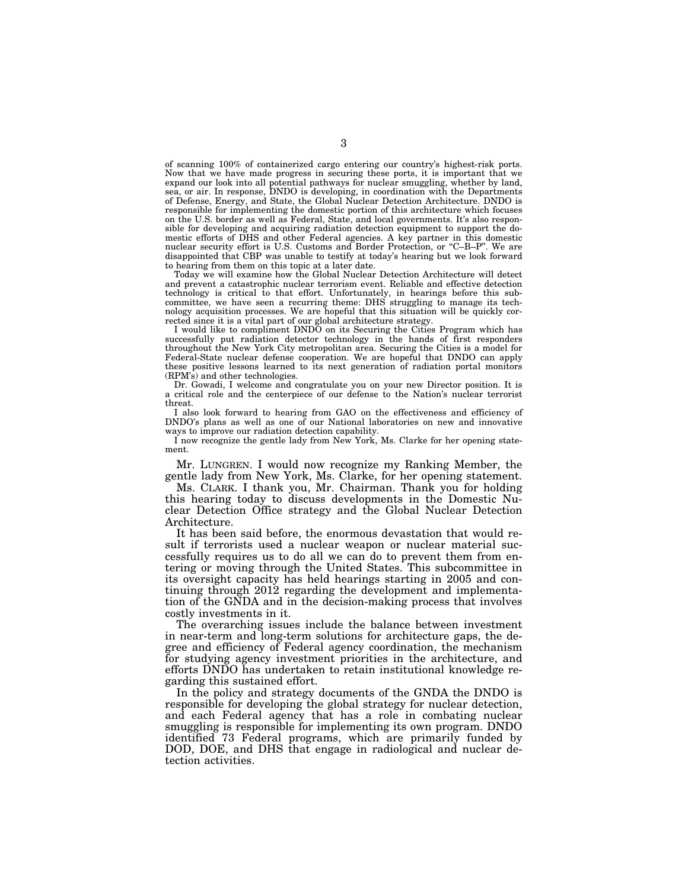of scanning 100% of containerized cargo entering our country's highest-risk ports. Now that we have made progress in securing these ports, it is important that we expand our look into all potential pathways for nuclear smuggling, whether by land, sea, or air. In response, DNDO is developing, in coordination with the Departments of Defense, Energy, and State, the Global Nuclear Detection Architecture. DNDO is responsible for implementing the domestic portion of this architecture which focuses on the U.S. border as well as Federal, State, and local governments. It's also responsible for developing and acquiring radiation detection equipment to support the domestic efforts of DHS and other Federal agencies. A key partner in this domestic nuclear security effort is U.S. Customs and Border Protection, or ''C–B–P''. We are disappointed that CBP was unable to testify at today's hearing but we look forward to hearing from them on this topic at a later date.

Today we will examine how the Global Nuclear Detection Architecture will detect and prevent a catastrophic nuclear terrorism event. Reliable and effective detection technology is critical to that effort. Unfortunately, in hearings before this subcommittee, we have seen a recurring theme: DHS struggling to manage its technology acquisition processes. We are hopeful that this situation will be quickly corrected since it is a vital part of our global architecture strategy.

I would like to compliment DNDO on its Securing the Cities Program which has successfully put radiation detector technology in the hands of first responders throughout the New York City metropolitan area. Securing the Cities is a model for Federal-State nuclear defense cooperation. We are hopeful that DNDO can apply these positive lessons learned to its next generation of radiation portal monitors (RPM's) and other technologies.

Dr. Gowadi, I welcome and congratulate you on your new Director position. It is a critical role and the centerpiece of our defense to the Nation's nuclear terrorist threat.

I also look forward to hearing from GAO on the effectiveness and efficiency of DNDO's plans as well as one of our National laboratories on new and innovative ways to improve our radiation detection capability.

I now recognize the gentle lady from New York, Ms. Clarke for her opening statement.

Mr. LUNGREN. I would now recognize my Ranking Member, the gentle lady from New York, Ms. Clarke, for her opening statement.

Ms. CLARK. I thank you, Mr. Chairman. Thank you for holding this hearing today to discuss developments in the Domestic Nuclear Detection Office strategy and the Global Nuclear Detection Architecture.

It has been said before, the enormous devastation that would result if terrorists used a nuclear weapon or nuclear material successfully requires us to do all we can do to prevent them from entering or moving through the United States. This subcommittee in its oversight capacity has held hearings starting in 2005 and continuing through 2012 regarding the development and implementation of the GNDA and in the decision-making process that involves costly investments in it.

The overarching issues include the balance between investment in near-term and long-term solutions for architecture gaps, the degree and efficiency of Federal agency coordination, the mechanism for studying agency investment priorities in the architecture, and efforts DNDO has undertaken to retain institutional knowledge regarding this sustained effort.

In the policy and strategy documents of the GNDA the DNDO is responsible for developing the global strategy for nuclear detection, and each Federal agency that has a role in combating nuclear smuggling is responsible for implementing its own program. DNDO identified 73 Federal programs, which are primarily funded by DOD, DOE, and DHS that engage in radiological and nuclear detection activities.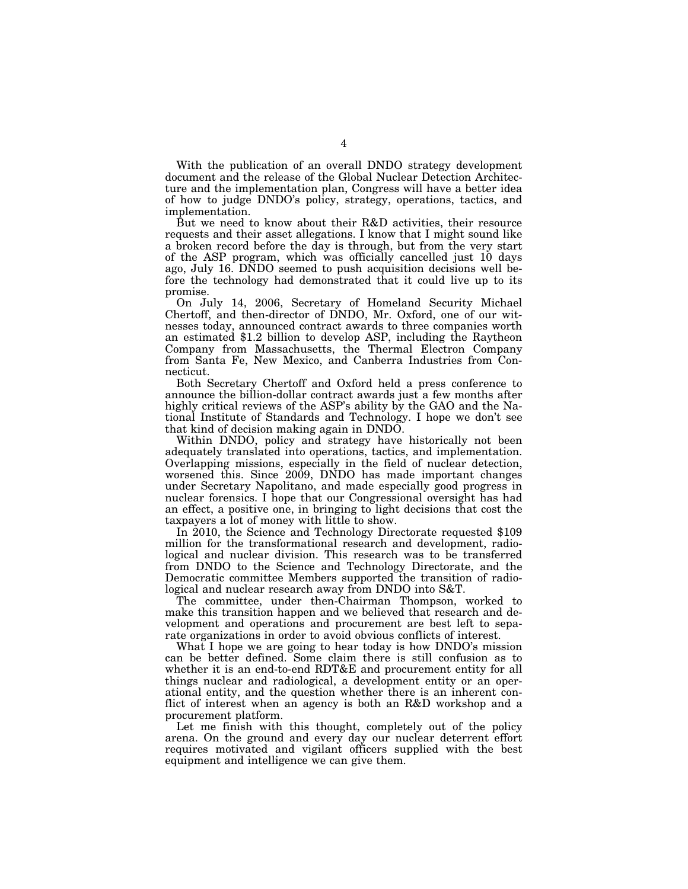With the publication of an overall DNDO strategy development document and the release of the Global Nuclear Detection Architecture and the implementation plan, Congress will have a better idea of how to judge DNDO's policy, strategy, operations, tactics, and implementation.

But we need to know about their R&D activities, their resource requests and their asset allegations. I know that I might sound like a broken record before the day is through, but from the very start of the ASP program, which was officially cancelled just 10 days ago, July 16. DNDO seemed to push acquisition decisions well before the technology had demonstrated that it could live up to its promise.

On July 14, 2006, Secretary of Homeland Security Michael Chertoff, and then-director of DNDO, Mr. Oxford, one of our witnesses today, announced contract awards to three companies worth an estimated \$1.2 billion to develop ASP, including the Raytheon Company from Massachusetts, the Thermal Electron Company from Santa Fe, New Mexico, and Canberra Industries from Connecticut.

Both Secretary Chertoff and Oxford held a press conference to announce the billion-dollar contract awards just a few months after highly critical reviews of the ASP's ability by the GAO and the National Institute of Standards and Technology. I hope we don't see that kind of decision making again in DNDO.

Within DNDO, policy and strategy have historically not been adequately translated into operations, tactics, and implementation. Overlapping missions, especially in the field of nuclear detection, worsened this. Since 2009, DNDO has made important changes under Secretary Napolitano, and made especially good progress in nuclear forensics. I hope that our Congressional oversight has had an effect, a positive one, in bringing to light decisions that cost the taxpayers a lot of money with little to show.

In 2010, the Science and Technology Directorate requested \$109 million for the transformational research and development, radiological and nuclear division. This research was to be transferred from DNDO to the Science and Technology Directorate, and the Democratic committee Members supported the transition of radiological and nuclear research away from DNDO into S&T.

The committee, under then-Chairman Thompson, worked to make this transition happen and we believed that research and development and operations and procurement are best left to separate organizations in order to avoid obvious conflicts of interest.

What I hope we are going to hear today is how DNDO's mission can be better defined. Some claim there is still confusion as to whether it is an end-to-end RDT&E and procurement entity for all things nuclear and radiological, a development entity or an operational entity, and the question whether there is an inherent conflict of interest when an agency is both an R&D workshop and a procurement platform.

Let me finish with this thought, completely out of the policy arena. On the ground and every day our nuclear deterrent effort requires motivated and vigilant officers supplied with the best equipment and intelligence we can give them.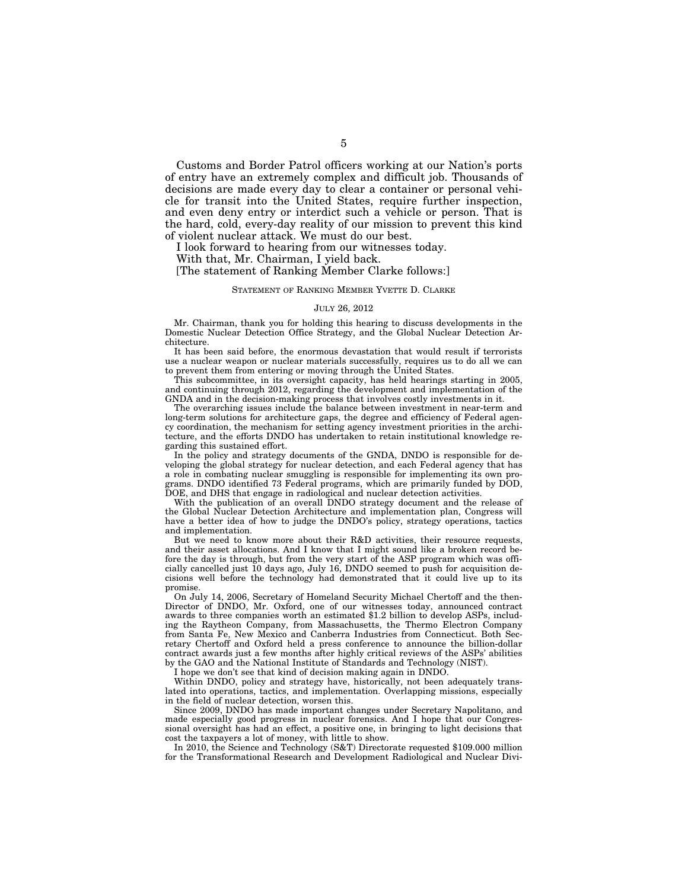Customs and Border Patrol officers working at our Nation's ports of entry have an extremely complex and difficult job. Thousands of decisions are made every day to clear a container or personal vehicle for transit into the United States, require further inspection, and even deny entry or interdict such a vehicle or person. That is the hard, cold, every-day reality of our mission to prevent this kind of violent nuclear attack. We must do our best.

I look forward to hearing from our witnesses today.

With that, Mr. Chairman, I yield back.

[The statement of Ranking Member Clarke follows:]

#### STATEMENT OF RANKING MEMBER YVETTE D. CLARKE

#### JULY 26, 2012

Mr. Chairman, thank you for holding this hearing to discuss developments in the Domestic Nuclear Detection Office Strategy, and the Global Nuclear Detection Architecture.

It has been said before, the enormous devastation that would result if terrorists use a nuclear weapon or nuclear materials successfully, requires us to do all we can to prevent them from entering or moving through the United States.

This subcommittee, in its oversight capacity, has held hearings starting in 2005, and continuing through 2012, regarding the development and implementation of the GNDA and in the decision-making process that involves costly investments in it.

The overarching issues include the balance between investment in near-term and long-term solutions for architecture gaps, the degree and efficiency of Federal agency coordination, the mechanism for setting agency investment priorities in the architecture, and the efforts DNDO has undertaken to retain institutional knowledge regarding this sustained effort.

In the policy and strategy documents of the GNDA, DNDO is responsible for developing the global strategy for nuclear detection, and each Federal agency that has a role in combating nuclear smuggling is responsible for implementing its own programs. DNDO identified 73 Federal programs, which are primarily funded by DOD, DOE, and DHS that engage in radiological and nuclear detection activities.

With the publication of an overall DNDO strategy document and the release of the Global Nuclear Detection Architecture and implementation plan, Congress will have a better idea of how to judge the DNDO's policy, strategy operations, tactics and implementation.

But we need to know more about their R&D activities, their resource requests, and their asset allocations. And I know that I might sound like a broken record before the day is through, but from the very start of the ASP program which was officially cancelled just 10 days ago, July 16, DNDO seemed to push for acquisition decisions well before the technology had demonstrated that it could live up to its promise.

On July 14, 2006, Secretary of Homeland Security Michael Chertoff and the then-Director of DNDO, Mr. Oxford, one of our witnesses today, announced contract awards to three companies worth an estimated \$1.2 billion to develop ASPs, including the Raytheon Company, from Massachusetts, the Thermo Electron Company from Santa Fe, New Mexico and Canberra Industries from Connecticut. Both Secretary Chertoff and Oxford held a press conference to announce the billion-dollar contract awards just a few months after highly critical reviews of the ASPs' abilities by the GAO and the National Institute of Standards and Technology (NIST).

I hope we don't see that kind of decision making again in DNDO.

Within DNDO, policy and strategy have, historically, not been adequately translated into operations, tactics, and implementation. Overlapping missions, especially in the field of nuclear detection, worsen this.

Since 2009, DNDO has made important changes under Secretary Napolitano, and made especially good progress in nuclear forensics. And I hope that our Congressional oversight has had an effect, a positive one, in bringing to light decisions that cost the taxpayers a lot of money, with little to show.

In 2010, the Science and Technology (S&T) Directorate requested \$109.000 million for the Transformational Research and Development Radiological and Nuclear Divi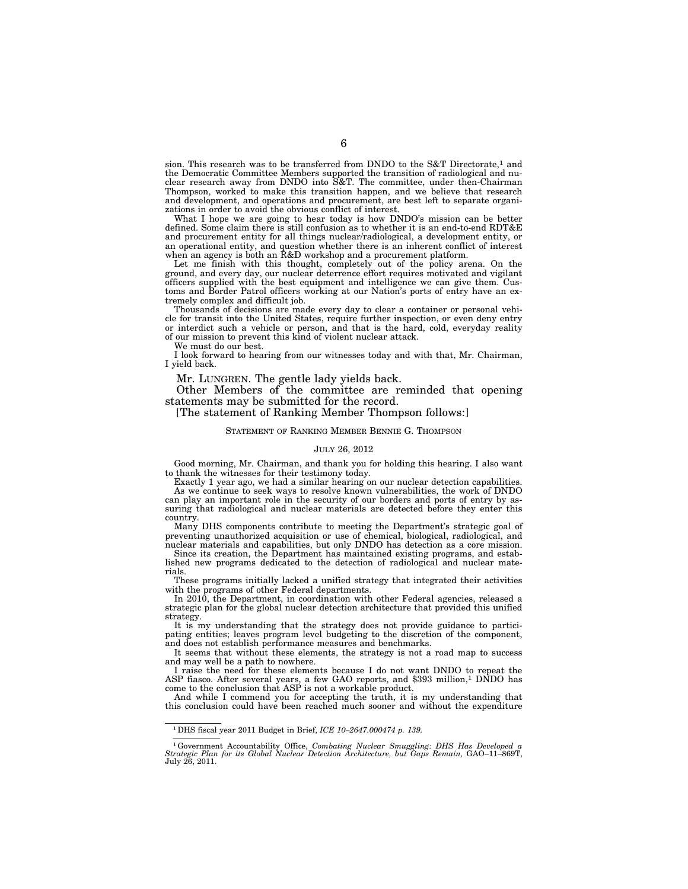sion. This research was to be transferred from DNDO to the S&T Directorate,<sup>1</sup> and the Democratic Committee Members supported the transition of radiological and nuclear research away from DNDO into S&T. The committee, under then-Chairman Thompson, worked to make this transition happen, and we believe that research and development, and operations and procurement, are best left to separate organizations in order to avoid the obvious conflict of interest.

What I hope we are going to hear today is how DNDO's mission can be better defined. Some claim there is still confusion as to whether it is an end-to-end RDT&E and procurement entity for all things nuclear/radiological, a development entity, or an operational entity, and question whether there is an inherent conflict of interest when an agency is both an R&D workshop and a procurement platform.

Let me finish with this thought, completely out of the policy arena. On the ground, and every day, our nuclear deterrence effort requires motivated and vigilant officers supplied with the best equipment and intelligence we can give them. Customs and Border Patrol officers working at our Nation's ports of entry have an extremely complex and difficult job.

Thousands of decisions are made every day to clear a container or personal vehicle for transit into the United States, require further inspection, or even deny entry or interdict such a vehicle or person, and that is the hard, cold, everyday reality of our mission to prevent this kind of violent nuclear attack.

We must do our best.

I look forward to hearing from our witnesses today and with that, Mr. Chairman, I yield back.

Mr. LUNGREN. The gentle lady yields back.

Other Members of the committee are reminded that opening statements may be submitted for the record.

#### [The statement of Ranking Member Thompson follows:]

STATEMENT OF RANKING MEMBER BENNIE G. THOMPSON

#### JULY 26, 2012

Good morning, Mr. Chairman, and thank you for holding this hearing. I also want to thank the witnesses for their testimony today.

Exactly 1 year ago, we had a similar hearing on our nuclear detection capabilities. As we continue to seek ways to resolve known vulnerabilities, the work of DNDO can play an important role in the security of our borders and ports of entry by as-

suring that radiological and nuclear materials are detected before they enter this country.

Many DHS components contribute to meeting the Department's strategic goal of preventing unauthorized acquisition or use of chemical, biological, radiological, and nuclear materials and capabilities, but only DNDO has detection as a core mission.

Since its creation, the Department has maintained existing programs, and established new programs dedicated to the detection of radiological and nuclear materials.

These programs initially lacked a unified strategy that integrated their activities with the programs of other Federal departments.

In 2010, the Department, in coordination with other Federal agencies, released a strategic plan for the global nuclear detection architecture that provided this unified strategy.

It is my understanding that the strategy does not provide guidance to participating entities; leaves program level budgeting to the discretion of the component, and does not establish performance measures and benchmarks.

It seems that without these elements, the strategy is not a road map to success and may well be a path to nowhere.

I raise the need for these elements because I do not want DNDO to repeat the ASP fiasco. After several years, a few GAO reports, and \$393 million,<sup>1</sup> DNDO has come to the conclusion that ASP is not a workable product.

And while I commend you for accepting the truth, it is my understanding that this conclusion could have been reached much sooner and without the expenditure

<sup>1</sup>DHS fiscal year 2011 Budget in Brief, *ICE 10–2647.000474 p. 139.* 

<sup>——————</sup>  1Government Accountability Office, *Combating Nuclear Smuggling: DHS Has Developed a Strategic Plan for its Global Nuclear Detection Architecture, but Gaps Remain,* GAO–11–869T, July 26, 2011.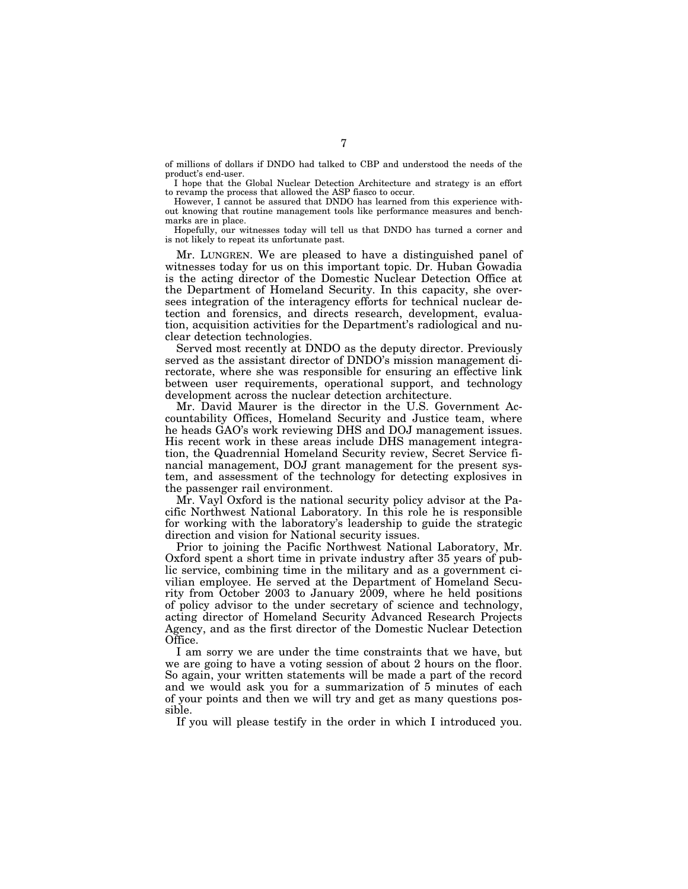of millions of dollars if DNDO had talked to CBP and understood the needs of the product's end-user.

I hope that the Global Nuclear Detection Architecture and strategy is an effort to revamp the process that allowed the ASP fiasco to occur.

However, I cannot be assured that DNDO has learned from this experience without knowing that routine management tools like performance measures and benchmarks are in place.

Hopefully, our witnesses today will tell us that DNDO has turned a corner and is not likely to repeat its unfortunate past.

Mr. LUNGREN. We are pleased to have a distinguished panel of witnesses today for us on this important topic. Dr. Huban Gowadia is the acting director of the Domestic Nuclear Detection Office at the Department of Homeland Security. In this capacity, she oversees integration of the interagency efforts for technical nuclear detection and forensics, and directs research, development, evaluation, acquisition activities for the Department's radiological and nuclear detection technologies.

Served most recently at DNDO as the deputy director. Previously served as the assistant director of DNDO's mission management directorate, where she was responsible for ensuring an effective link between user requirements, operational support, and technology development across the nuclear detection architecture.

Mr. David Maurer is the director in the U.S. Government Accountability Offices, Homeland Security and Justice team, where he heads GAO's work reviewing DHS and DOJ management issues. His recent work in these areas include DHS management integration, the Quadrennial Homeland Security review, Secret Service financial management, DOJ grant management for the present system, and assessment of the technology for detecting explosives in the passenger rail environment.

Mr. Vayl Oxford is the national security policy advisor at the Pacific Northwest National Laboratory. In this role he is responsible for working with the laboratory's leadership to guide the strategic direction and vision for National security issues.

Prior to joining the Pacific Northwest National Laboratory, Mr. Oxford spent a short time in private industry after 35 years of public service, combining time in the military and as a government civilian employee. He served at the Department of Homeland Security from October 2003 to January 2009, where he held positions of policy advisor to the under secretary of science and technology, acting director of Homeland Security Advanced Research Projects Agency, and as the first director of the Domestic Nuclear Detection Office.

I am sorry we are under the time constraints that we have, but we are going to have a voting session of about 2 hours on the floor. So again, your written statements will be made a part of the record and we would ask you for a summarization of 5 minutes of each of your points and then we will try and get as many questions possible.

If you will please testify in the order in which I introduced you.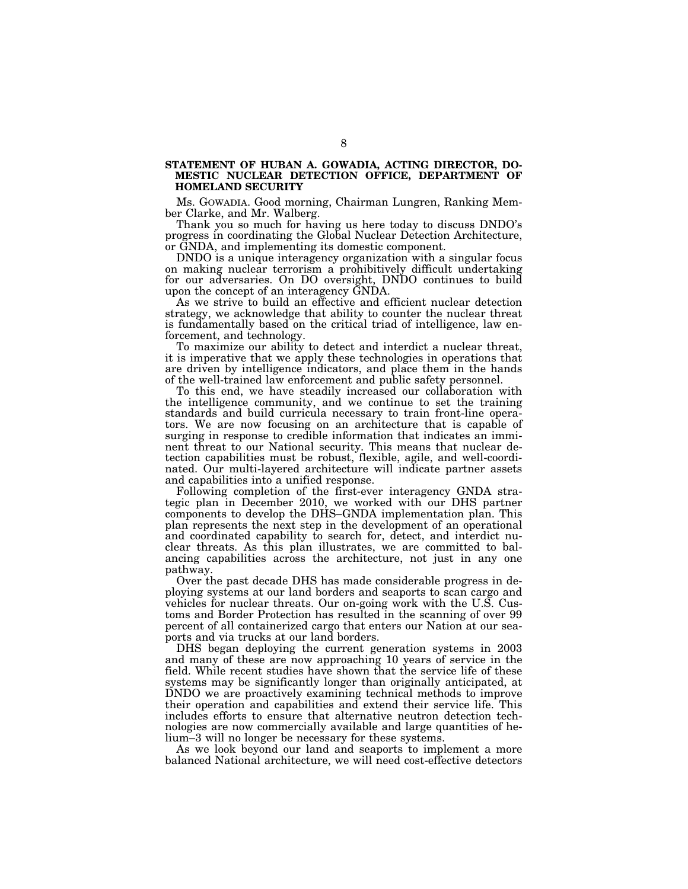#### **STATEMENT OF HUBAN A. GOWADIA, ACTING DIRECTOR, DO-MESTIC NUCLEAR DETECTION OFFICE, DEPARTMENT OF HOMELAND SECURITY**

Ms. GOWADIA. Good morning, Chairman Lungren, Ranking Member Clarke, and Mr. Walberg.

Thank you so much for having us here today to discuss DNDO's progress in coordinating the Global Nuclear Detection Architecture, or GNDA, and implementing its domestic component.

DNDO is a unique interagency organization with a singular focus on making nuclear terrorism a prohibitively difficult undertaking for our adversaries. On DO oversight, DNDO continues to build upon the concept of an interagency GNDA.

As we strive to build an effective and efficient nuclear detection strategy, we acknowledge that ability to counter the nuclear threat is fundamentally based on the critical triad of intelligence, law enforcement, and technology.

To maximize our ability to detect and interdict a nuclear threat, it is imperative that we apply these technologies in operations that are driven by intelligence indicators, and place them in the hands of the well-trained law enforcement and public safety personnel.

To this end, we have steadily increased our collaboration with the intelligence community, and we continue to set the training standards and build curricula necessary to train front-line operators. We are now focusing on an architecture that is capable of surging in response to credible information that indicates an imminent threat to our National security. This means that nuclear detection capabilities must be robust, flexible, agile, and well-coordinated. Our multi-layered architecture will indicate partner assets and capabilities into a unified response.

Following completion of the first-ever interagency GNDA strategic plan in December 2010, we worked with our DHS partner components to develop the DHS–GNDA implementation plan. This plan represents the next step in the development of an operational and coordinated capability to search for, detect, and interdict nuclear threats. As this plan illustrates, we are committed to balancing capabilities across the architecture, not just in any one pathway.

Over the past decade DHS has made considerable progress in deploying systems at our land borders and seaports to scan cargo and vehicles for nuclear threats. Our on-going work with the U.S. Customs and Border Protection has resulted in the scanning of over 99 percent of all containerized cargo that enters our Nation at our seaports and via trucks at our land borders.

DHS began deploying the current generation systems in 2003 and many of these are now approaching 10 years of service in the field. While recent studies have shown that the service life of these systems may be significantly longer than originally anticipated, at DNDO we are proactively examining technical methods to improve their operation and capabilities and extend their service life. This includes efforts to ensure that alternative neutron detection technologies are now commercially available and large quantities of helium–3 will no longer be necessary for these systems.

As we look beyond our land and seaports to implement a more balanced National architecture, we will need cost-effective detectors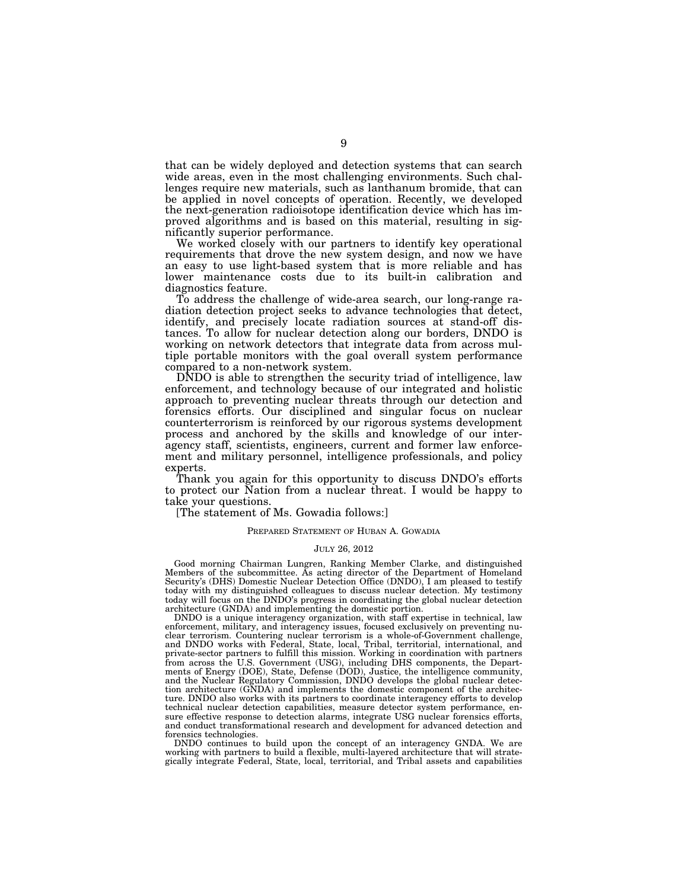that can be widely deployed and detection systems that can search wide areas, even in the most challenging environments. Such challenges require new materials, such as lanthanum bromide, that can be applied in novel concepts of operation. Recently, we developed the next-generation radioisotope identification device which has improved algorithms and is based on this material, resulting in significantly superior performance.

We worked closely with our partners to identify key operational requirements that drove the new system design, and now we have an easy to use light-based system that is more reliable and has lower maintenance costs due to its built-in calibration and diagnostics feature.

To address the challenge of wide-area search, our long-range radiation detection project seeks to advance technologies that detect, identify, and precisely locate radiation sources at stand-off distances. To allow for nuclear detection along our borders, DNDO is working on network detectors that integrate data from across multiple portable monitors with the goal overall system performance compared to a non-network system.

DNDO is able to strengthen the security triad of intelligence, law enforcement, and technology because of our integrated and holistic approach to preventing nuclear threats through our detection and forensics efforts. Our disciplined and singular focus on nuclear counterterrorism is reinforced by our rigorous systems development process and anchored by the skills and knowledge of our interagency staff, scientists, engineers, current and former law enforcement and military personnel, intelligence professionals, and policy experts.

Thank you again for this opportunity to discuss DNDO's efforts to protect our Nation from a nuclear threat. I would be happy to take your questions.

[The statement of Ms. Gowadia follows:]

#### PREPARED STATEMENT OF HUBAN A. GOWADIA

#### JULY 26, 2012

Good morning Chairman Lungren, Ranking Member Clarke, and distinguished Members of the subcommittee. As acting director of the Department of Homeland Security's (DHS) Domestic Nuclear Detection Office (DNDO), I am pleased to testify today with my distinguished colleagues to discuss nuclear detection. My testimony today will focus on the DNDO's progress in coordinating the global nuclear detection architecture (GNDA) and implementing the domestic portion.

DNDO is a unique interagency organization, with staff expertise in technical, law enforcement, military, and interagency issues, focused exclusively on preventing nuclear terrorism. Countering nuclear terrorism is a whole-of-Government challenge, and DNDO works with Federal, State, local, Tribal, territorial, international, and private-sector partners to fulfill this mission. Working in coordination with partners from across the U.S. Government (USG), including DHS components, the Departments of Energy (DOE), State, Defense (DOD), Justice, the intelligence community, and the Nuclear Regulatory Commission, DNDO develops the global nuclear detection architecture (GNDA) and implements the domestic component of the architecture. DNDO also works with its partners to coordinate interagency efforts to develop technical nuclear detection capabilities, measure detector system performance, ensure effective response to detection alarms, integrate USG nuclear forensics efforts, and conduct transformational research and development for advanced detection and forensics technologies.

DNDO continues to build upon the concept of an interagency GNDA. We are working with partners to build a flexible, multi-layered architecture that will strategically integrate Federal, State, local, territorial, and Tribal assets and capabilities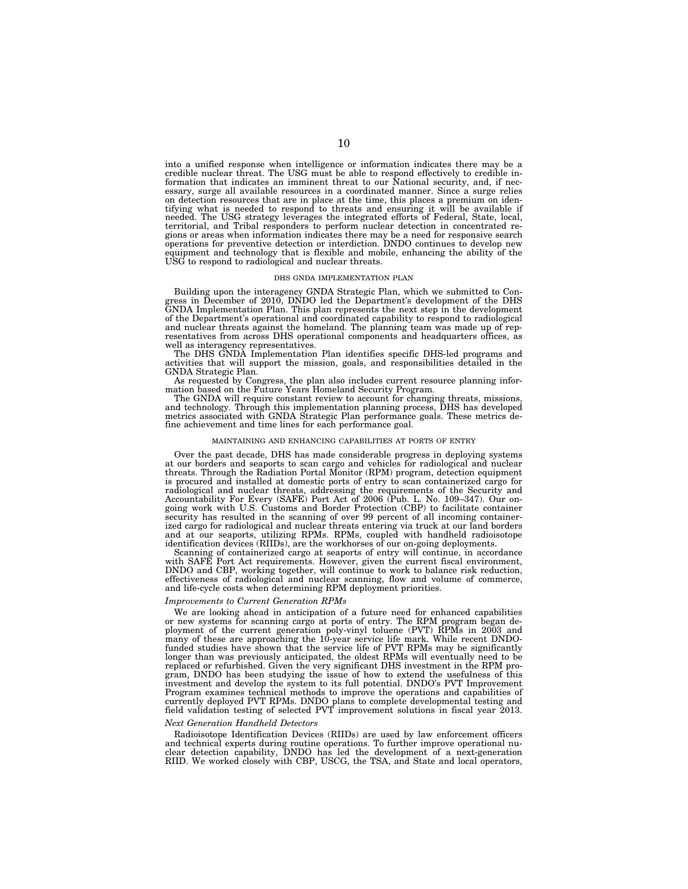into a unified response when intelligence or information indicates there may be a credible nuclear threat. The USG must be able to respond effectively to credible information that indicates an imminent threat to our National security, and, if necessary, surge all available resources in a coordinated manner. Since a surge relies on detection resources that are in place at the time, this places a premium on identifying what is needed to respond to threats and ensuring it will be available if needed. The USG strategy leverages the integrated efforts of Federal, State, local, territorial, and Tribal responders to perform nuclear detection in concentrated regions or areas when information indicates there may be a need for responsive search operations for preventive detection or interdiction. DNDO continues to develop new equipment and technology that is flexible and mobile, enhancing the ability of the USG to respond to radiological and nuclear threats.

#### DHS GNDA IMPLEMENTATION PLAN

Building upon the interagency GNDA Strategic Plan, which we submitted to Congress in December of 2010, DNDO led the Department's development of the DHS GNDA Implementation Plan. This plan represents the next step in the de of the Department's operational and coordinated capability to respond to radiological and nuclear threats against the homeland. The planning team was made up of representatives from across DHS operational components and headquarters offices, as well as interagency representatives.

The DHS GNDA Implementation Plan identifies specific DHS-led programs and activities that will support the mission, goals, and responsibilities detailed in the GNDA Strategic Plan.

As requested by Congress, the plan also includes current resource planning infor-mation based on the Future Years Homeland Security Program.

The GNDA will require constant review to account for changing threats, missions, and technology. Through this implementation planning process, DHS has developed metrics associated with GNDA Strategic Plan performance goals. These metrics define achievement and time lines for each performance goal.

#### MAINTAINING AND ENHANCING CAPABILITIES AT PORTS OF ENTRY

Over the past decade, DHS has made considerable progress in deploying systems at our borders and seaports to scan cargo and vehicles for radiological and nuclear threats. Through the Radiation Portal Monitor (RPM) program, detection equipment is procured and installed at domestic ports of entry to scan containerized cargo for radiological and nuclear threats, addressing the requirements of the Security and Accountability For Every (SAFE) Port Act of 2006 (Pub. L. No. 109–347). Our on-going work with U.S. Customs and Border Protection (CBP) to facilitate container security has resulted in the scanning of over 99 percent of all incoming containerized cargo for radiological and nuclear threats entering via truck at our land borders and at our seaports, utilizing RPMs. RPMs, coupled with handheld radioisotope identification devices (RIIDs), are the workhorses of our on-going deployments.

Scanning of containerized cargo at seaports of entry will continue, in accordance with SAFE Port Act requirements. However, given the current fiscal environment, DNDO and CBP, working together, will continue to work to balance risk reduction, effectiveness of radiological and nuclear scanning, flow and volume of commerce, and life-cycle costs when determining RPM deployment priorities.

#### *Improvements to Current Generation RPMs*

We are looking ahead in anticipation of a future need for enhanced capabilities or new systems for scanning cargo at ports of entry. The RPM program began de-ployment of the current generation poly-vinyl toluene (PVT) RPMs in 2003 and many of these are approaching the 10-year service life mark. While recent DNDO-<br>funded studies have shown that the service life of PVT RPMs may be significantly<br>longer than was previously anticipated, the oldest RPMs will replaced or refurbished. Given the very significant DHS investment in the RPM program, DNDO has been studying the issue of how to extend the usefulness of this investment and develop the system to its full potential. DNDO's PVT Improvement Program examines technical methods to improve the operations and capabilities of<br>currently deployed PVT RPMs. DNDO plans to complete developmental testing and<br>field validation testing of selected PVT improvement solutions

#### *Next Generation Handheld Detectors*

Radioisotope Identification Devices (RIIDs) are used by law enforcement officers and technical experts during routine operations. To further improve operational nu-clear detection capability, DNDO has led the development of a next-generation RIID. We worked closely with CBP, USCG, the TSA, and State and local operators,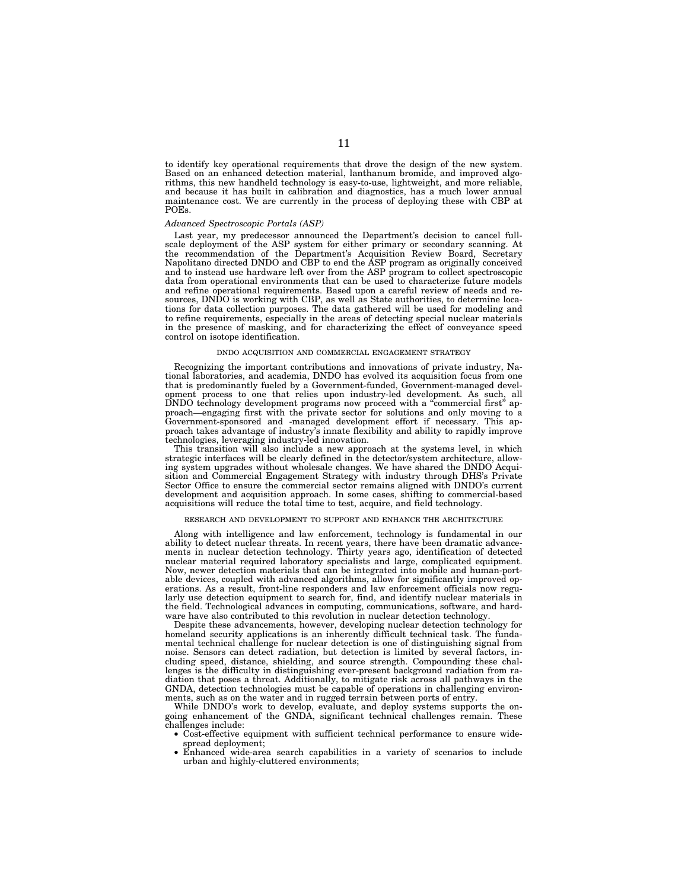to identify key operational requirements that drove the design of the new system. Based on an enhanced detection material, lanthanum bromide, and improved algorithms, this new handheld technology is easy-to-use, lightweight, and more reliable, and because it has built in calibration and diagnostics, has a much lower annual maintenance cost. We are currently in the process of deploying these with CBP at POEs.

#### *Advanced Spectroscopic Portals (ASP)*

Last year, my predecessor announced the Department's decision to cancel fullscale deployment of the ASP system for either primary or secondary scanning. At the recommendation of the Department's Acquisition Review Board, Secretary Napolitano directed DNDO and CBP to end the ASP program as originally conceived and to instead use hardware left over from the ASP program to collect spectroscopic data from operational environments that can be used to characterize future models and refine operational requirements. Based upon a careful review of needs and resources, DNDO is working with CBP, as well as State authorities, to determine locations for data collection purposes. The data gathered will be used for modeling and to refine requirements, especially in the areas of detecting special nuclear materials in the presence of masking, and for characterizing the effect of conveyance speed control on isotope identification.

#### DNDO ACQUISITION AND COMMERCIAL ENGAGEMENT STRATEGY

Recognizing the important contributions and innovations of private industry, National laboratories, and academia, DNDO has evolved its acquisition focus from one that is predominantly fueled by a Government-funded, Government-managed development process to one that relies upon industry-led development. As such, all DNDO technology development programs now proceed with a "commercial first" approach—engaging first with the private sector for solutions and only moving to a Government-sponsored and -managed development effort if necessary. This approach takes advantage of industry's innate flexibility and ability to rapidly improve technologies, leveraging industry-led innovation.

This transition will also include a new approach at the systems level, in which strategic interfaces will be clearly defined in the detector/system architecture, allowing system upgrades without wholesale changes. We have shared the DNDO Acquisition and Commercial Engagement Strategy with industry through DHS's Private Sector Office to ensure the commercial sector remains aligned with DNDO's current development and acquisition approach. In some cases, shifting to commercial-based acquisitions will reduce the total time to test, acquire, and field technology.

#### RESEARCH AND DEVELOPMENT TO SUPPORT AND ENHANCE THE ARCHITECTURE

Along with intelligence and law enforcement, technology is fundamental in our ability to detect nuclear threats. In recent years, there have been dramatic advancements in nuclear detection technology. Thirty years ago, identification of detected nuclear material required laboratory specialists and large, complicated equipment. Now, newer detection materials that can be integrated into mobile and human-portable devices, coupled with advanced algorithms, allow for significantly improved operations. As a result, front-line responders and law enforcement officials now regularly use detection equipment to search for, find, and identify nuclear materials in the field. Technological advances in computing, communications, software, and hardware have also contributed to this revolution in nuclear detection technology.

Despite these advancements, however, developing nuclear detection technology for homeland security applications is an inherently difficult technical task. The fundamental technical challenge for nuclear detection is one of distinguishing signal from noise. Sensors can detect radiation, but detection is limited by several factors, including speed, distance, shielding, and source strength. Compounding these challenges is the difficulty in distinguishing ever-present background radiation from radiation that poses a threat. Additionally, to mitigate risk across all pathways in the GNDA, detection technologies must be capable of operations in challenging environments, such as on the water and in rugged terrain between ports of entry.

While DNDO's work to develop, evaluate, and deploy systems supports the ongoing enhancement of the GNDA, significant technical challenges remain. These challenges include:

- Cost-effective equipment with sufficient technical performance to ensure widespread deployment;
- Enhanced wide-area search capabilities in a variety of scenarios to include urban and highly-cluttered environments;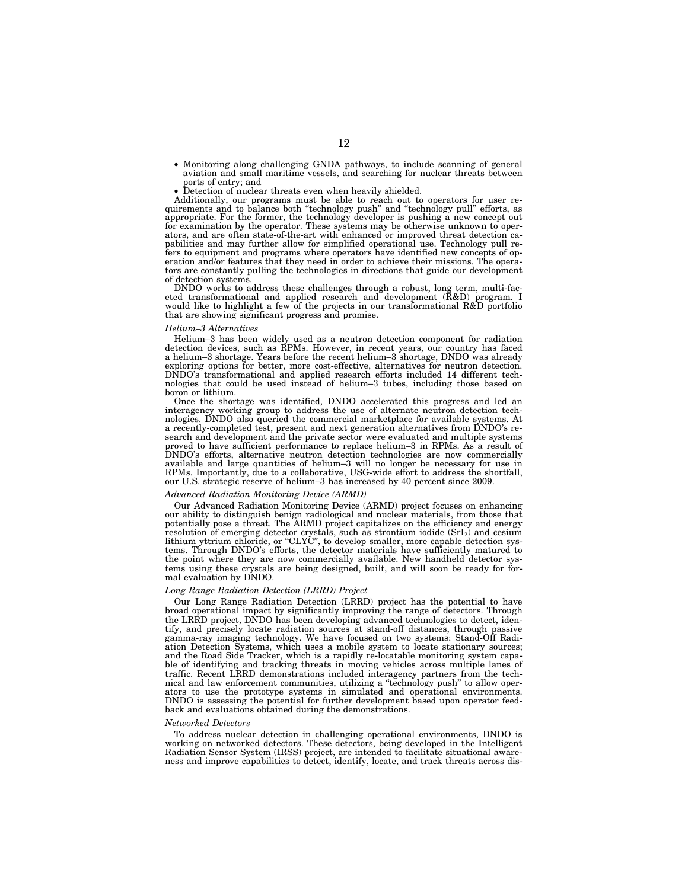- Monitoring along challenging GNDA pathways, to include scanning of general aviation and small maritime vessels, and searching for nuclear threats between
- Detection of nuclear threats even when heavily shielded.

Additionally, our programs must be able to reach out to operators for user requirements and to balance both ''technology push'' and ''technology pull'' efforts, as appropriate. For the former, the technology developer is pushing a new concept out for examination by the operator. These systems may be otherwise unknown to operators, and are often state-of-the-art with enhanced or improved threat detection capabilities and may further allow for simplified operational use. Technology pull re-fers to equipment and programs where operators have identified new concepts of operation and/or features that they need in order to achieve their missions. The opera-tors are constantly pulling the technologies in directions that guide our development of detection systems.

DNDO works to address these challenges through a robust, long term, multi-faceted transformational and applied research and development (R&D) program. I would like to highlight a few of the projects in our transformational R&D portfolio that are showing significant progress and promise.

#### *Helium–3 Alternatives*

Helium–3 has been widely used as a neutron detection component for radiation detection devices, such as RPMs. However, in recent years, our country has faced a helium–3 shortage. Years before the recent helium–3 shortage, DNDO was already exploring options for better, more cost-effective, alternatives for neutron detection. DNDO's transformational and applied research efforts included 14 different technologies that could be used instead of helium–3 tubes, including those based on boron or lithium.

Once the shortage was identified, DNDO accelerated this progress and led an interagency working group to address the use of alternate neutron detection technologies. DNDO also queried the commercial marketplace for available systems. At a recently-completed test, present and next generation alternatives from DNDO's research and development and the private sector were evaluated and multiple systems proved to have sufficient performance to replace helium–3 in RPMs. As a result of DNDO's efforts, alternative neutron detection technologies are now commercially available and large quantities of helium–3 will no longer be necessary for use in RPMs. Importantly, due to a collaborative, USG-wide effort to address the shortfall, our U.S. strategic reserve of helium–3 has increased by 40 percent since 2009.

#### *Advanced Radiation Monitoring Device (ARMD)*

Our Advanced Radiation Monitoring Device (ARMD) project focuses on enhancing our ability to distinguish benign radiological and nuclear materials, from those that potentially pose a threat. The ARMD project capitalizes on the efficiency and energy resolution of emerging detector crystals, such as strontium iodide  $(SrI<sub>2</sub>)$  and cesium lithium yttrium chloride, or ''CLYC'', to develop smaller, more capable detection systems. Through DNDO's efforts, the detector materials have sufficiently matured to the point where they are now commercially available. New handheld detector systems using these crystals are being designed, built, and will soon be ready for formal evaluation by DNDO.

#### *Long Range Radiation Detection (LRRD) Project*

Our Long Range Radiation Detection (LRRD) project has the potential to have broad operational impact by significantly improving the range of detectors. Through the LRRD project, DNDO has been developing advanced technologies to detect, identify, and precisely locate radiation sources at stand-off distances, through passive gamma-ray imaging technology. We have focused on two systems: Stand-Off Radiation Detection Systems, which uses a mobile system to locate stationary sources; and the Road Side Tracker, which is a rapidly re-locatable monitoring system capable of identifying and tracking threats in moving vehicles across multiple lanes of traffic. Recent LRRD demonstrations included interagency partners from the technical and law enforcement communities, utilizing a ''technology push'' to allow operators to use the prototype systems in simulated and operational environments. DNDO is assessing the potential for further development based upon operator feedback and evaluations obtained during the demonstrations.

#### *Networked Detectors*

To address nuclear detection in challenging operational environments, DNDO is working on networked detectors. These detectors, being developed in the Intelligent Radiation Sensor System (IRSS) project, are intended to facilitate situational awareness and improve capabilities to detect, identify, locate, and track threats across dis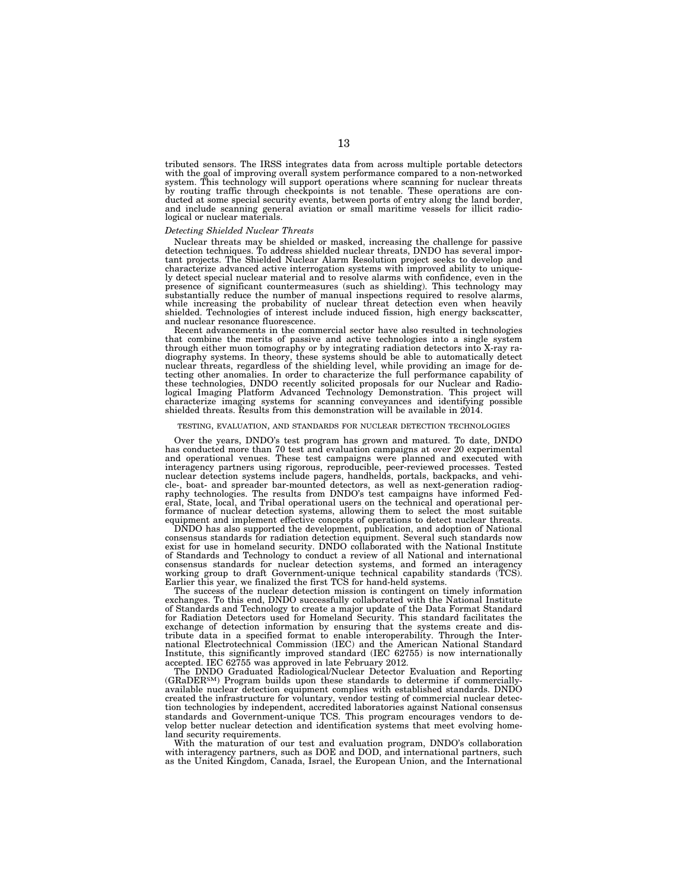tributed sensors. The IRSS integrates data from across multiple portable detectors with the goal of improving overall system performance compared to a non-networked system. This technology will support operations where scanning for nuclear threats by routing traffic through checkpoints is not tenable. These operations are conducted at some special security events, between ports of entry along the land border, and include scanning general aviation or small maritime vessels for illicit radiological or nuclear materials.

#### *Detecting Shielded Nuclear Threats*

Nuclear threats may be shielded or masked, increasing the challenge for passive detection techniques. To address shielded nuclear threats, DNDO has several important projects. The Shielded Nuclear Alarm Resolution project seeks to develop and characterize advanced active interrogation systems with improved ability to uniquely detect special nuclear material and to resolve alarms with confidence, even in the presence of significant countermeasures (such as shielding). This technology may substantially reduce the number of manual inspections required to resolve alarms, while increasing the probability of nuclear threat detection even when heavily shielded. Technologies of interest include induced fission, high energy backscatter, and nuclear resonance fluorescence.

Recent advancements in the commercial sector have also resulted in technologies that combine the merits of passive and active technologies into a single system through either muon tomography or by integrating radiation detectors into X-ray radiography systems. In theory, these systems should be able to automatically detect nuclear threats, regardless of the shielding level, while providing an image for detecting other anomalies. In order to characterize the full performance capability of these technologies, DNDO recently solicited proposals for our Nuclear and Radiological Imaging Platform Advanced Technology Demonstration. This project will characterize imaging systems for scanning conveyances and identifying possible shielded threats. Results from this demonstration will be available in 2014.

#### TESTING, EVALUATION, AND STANDARDS FOR NUCLEAR DETECTION TECHNOLOGIES

Over the years, DNDO's test program has grown and matured. To date, DNDO has conducted more than 70 test and evaluation campaigns at over 20 experimental and operational venues. These test campaigns were planned and executed with interagency partners using rigorous, reproducible, peer-reviewed processes. Tested nuclear detection systems include pagers, handhelds, portals, backpacks, and vehicle-, boat- and spreader bar-mounted detectors, as well as next-generation radiography technologies. The results from DNDO's test campaigns have informed Federal, State, local, and Tribal operational users on the technical and operational performance of nuclear detection systems, allowing them to select the most suitable equipment and implement effective concepts of operations to detect nuclear threats.

DNDO has also supported the development, publication, and adoption of National consensus standards for radiation detection equipment. Several such standards now exist for use in homeland security. DNDO collaborated with the National Institute of Standards and Technology to conduct a review of all National and international consensus standards for nuclear detection systems, and formed an interagency working group to draft Government-unique technical capability standards (TCS).<br>Earlier this year, we finalized the first TCS for hand-held system

The success of the nuclear detection mission is contingent on timely information exchanges. To this end, DNDO successfully collaborated with the National Institute of Standards and Technology to create a major update of the Data Format Standard for Radiation Detectors used for Homeland Security. This standard facilitates the exchange of detection information by ensuring that the systems create and distribute data in a specified format to enable interoperability. Through the International Electrotechnical Commission (IEC) and the American National Standard Institute, this significantly improved standard (IEC 62755) is now internationally accepted. IEC 62755 was approved in late February 2012.

The DNDO Graduated Radiological/Nuclear Detector Evaluation and Reporting (GRaDERSM) Program builds upon these standards to determine if commerciallyavailable nuclear detection equipment complies with established standards. DNDO created the infrastructure for voluntary, vendor testing of commercial nuclear detection technologies by independent, accredited laboratories against National consensus standards and Government-unique TCS. This program encourages vendors to develop better nuclear detection and identification systems that meet evolving homeland security requirements.

With the maturation of our test and evaluation program, DNDO's collaboration with interagency partners, such as DOE and DOD, and international partners, such as the United Kingdom, Canada, Israel, the European Union, and the International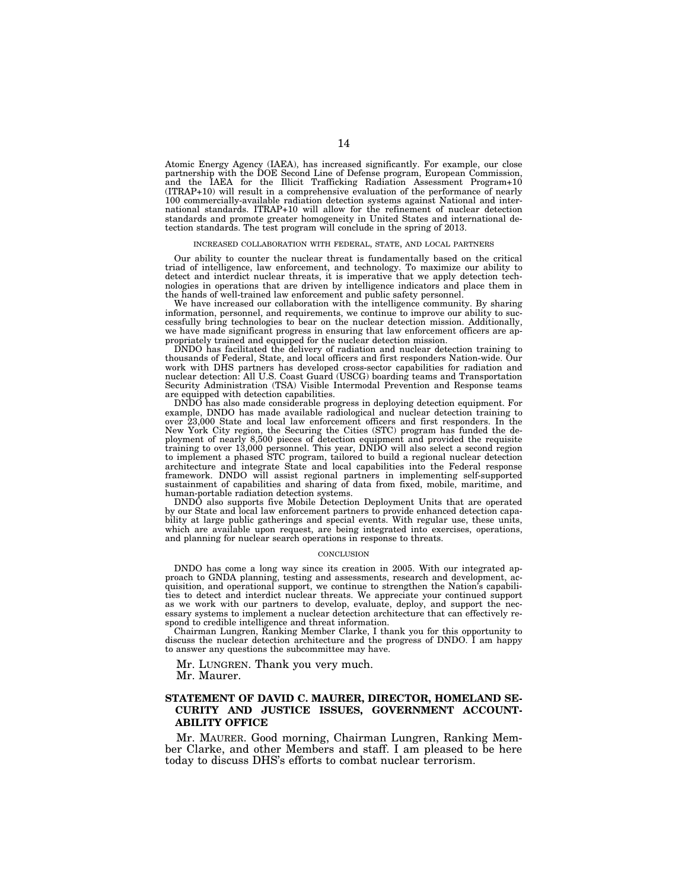Atomic Energy Agency (IAEA), has increased significantly. For example, our close partnership with the DOE Second Line of Defense program, European Commission, and the IAEA for the Illicit Trafficking Radiation Assessment Program+10 (ITRAP+10) will result in a comprehensive evaluation of the performance of nearly 100 commercially-available radiation detection systems against National and international standards. ITRAP+10 will allow for the refinement of nuclear detection standards and promote greater homogeneity in United States and international detection standards. The test program will conclude in the spring of 2013.

#### INCREASED COLLABORATION WITH FEDERAL, STATE, AND LOCAL PARTNERS

Our ability to counter the nuclear threat is fundamentally based on the critical triad of intelligence, law enforcement, and technology. To maximize our ability to detect and interdict nuclear threats, it is imperative that we apply detection technologies in operations that are driven by intelligence indicators and place them in the hands of well-trained law enforcement and public safety personnel.

We have increased our collaboration with the intelligence community. By sharing information, personnel, and requirements, we continue to improve our ability to successfully bring technologies to bear on the nuclear detection mission. Additionally, we have made significant progress in ensuring that law enforcement officers are appropriately trained and equipped for the nuclear detection mission.

DNDO has facilitated the delivery of radiation and nuclear detection training to thousands of Federal, State, and local officers and first responders Nation-wide. Our work with DHS partners has developed cross-sector capabilities for radiation and nuclear detection: All U.S. Coast Guard (USCG) boarding teams and Transportation Security Administration (TSA) Visible Intermodal Prevention and Response teams are equipped with detection capabilities.

DNDO has also made considerable progress in deploying detection equipment. For example, DNDO has made available radiological and nuclear detection training to over 23,000 State and local law enforcement officers and first responders. In the New York City region, the Securing the Cities (STC) program has funded the deployment of nearly 8,500 pieces of detection equipment and provided the requisite training to over 13,000 personnel. This year, DNDO will also select a second region to implement a phased STC program, tailored to build a regional nuclear detection architecture and integrate State and local capabilities into the Federal response framework. DNDO will assist regional partners in implementing self-supported sustainment of capabilities and sharing of data from fixed, mobile, maritime, and human-portable radiation detection systems.

DNDO also supports five Mobile Detection Deployment Units that are operated by our State and local law enforcement partners to provide enhanced detection capability at large public gatherings and special events. With regular use, these units, which are available upon request, are being integrated into exercises, operations, and planning for nuclear search operations in response to threats.

#### **CONCLUSION**

DNDO has come a long way since its creation in 2005. With our integrated approach to GNDA planning, testing and assessments, research and development, acquisition, and operational support, we continue to strengthen the Nation's capabilities to detect and interdict nuclear threats. We appreciate your continued support as we work with our partners to develop, evaluate, deploy, and support the necessary systems to implement a nuclear detection architecture that can effectively respond to credible intelligence and threat information.

Chairman Lungren, Ranking Member Clarke, I thank you for this opportunity to discuss the nuclear detection architecture and the progress of DNDO. I am happy to answer any questions the subcommittee may have.

Mr. LUNGREN. Thank you very much.

Mr. Maurer.

#### **STATEMENT OF DAVID C. MAURER, DIRECTOR, HOMELAND SE-CURITY AND JUSTICE ISSUES, GOVERNMENT ACCOUNT-ABILITY OFFICE**

Mr. MAURER. Good morning, Chairman Lungren, Ranking Member Clarke, and other Members and staff. I am pleased to be here today to discuss DHS's efforts to combat nuclear terrorism.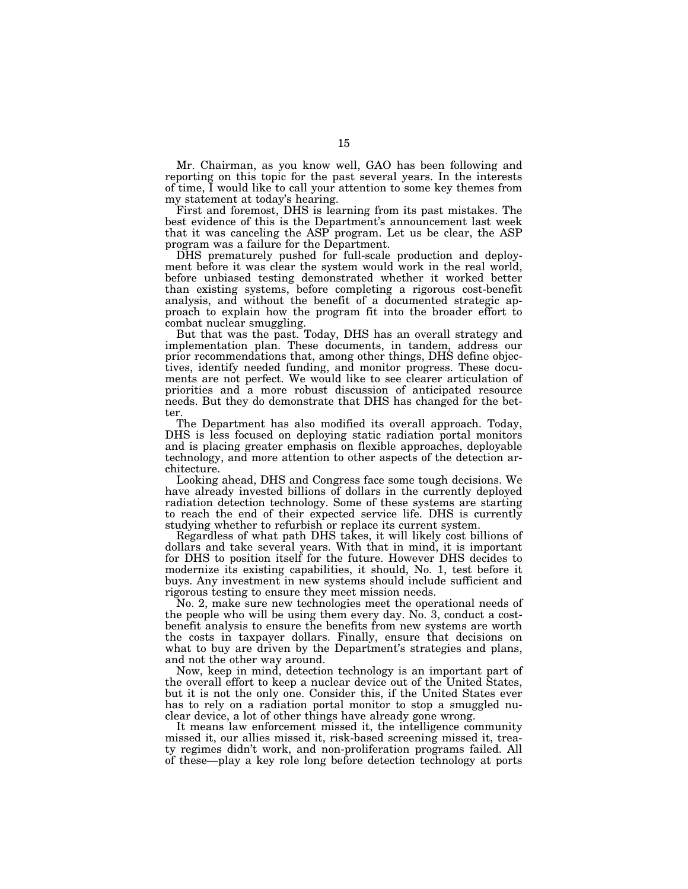Mr. Chairman, as you know well, GAO has been following and reporting on this topic for the past several years. In the interests of time, I would like to call your attention to some key themes from my statement at today's hearing.

First and foremost, DHS is learning from its past mistakes. The best evidence of this is the Department's announcement last week that it was canceling the ASP program. Let us be clear, the ASP program was a failure for the Department.

DHS prematurely pushed for full-scale production and deployment before it was clear the system would work in the real world, before unbiased testing demonstrated whether it worked better than existing systems, before completing a rigorous cost-benefit analysis, and without the benefit of a documented strategic approach to explain how the program fit into the broader effort to combat nuclear smuggling.

But that was the past. Today, DHS has an overall strategy and implementation plan. These documents, in tandem, address our prior recommendations that, among other things, DHS define objectives, identify needed funding, and monitor progress. These documents are not perfect. We would like to see clearer articulation of priorities and a more robust discussion of anticipated resource needs. But they do demonstrate that DHS has changed for the better.

The Department has also modified its overall approach. Today, DHS is less focused on deploying static radiation portal monitors and is placing greater emphasis on flexible approaches, deployable technology, and more attention to other aspects of the detection architecture.

Looking ahead, DHS and Congress face some tough decisions. We have already invested billions of dollars in the currently deployed radiation detection technology. Some of these systems are starting to reach the end of their expected service life. DHS is currently studying whether to refurbish or replace its current system.

Regardless of what path DHS takes, it will likely cost billions of dollars and take several years. With that in mind, it is important for DHS to position itself for the future. However DHS decides to modernize its existing capabilities, it should, No. 1, test before it buys. Any investment in new systems should include sufficient and rigorous testing to ensure they meet mission needs.

No. 2, make sure new technologies meet the operational needs of the people who will be using them every day. No. 3, conduct a costbenefit analysis to ensure the benefits from new systems are worth the costs in taxpayer dollars. Finally, ensure that decisions on what to buy are driven by the Department's strategies and plans, and not the other way around.

Now, keep in mind, detection technology is an important part of the overall effort to keep a nuclear device out of the United States, but it is not the only one. Consider this, if the United States ever has to rely on a radiation portal monitor to stop a smuggled nuclear device, a lot of other things have already gone wrong.

It means law enforcement missed it, the intelligence community missed it, our allies missed it, risk-based screening missed it, treaty regimes didn't work, and non-proliferation programs failed. All of these—play a key role long before detection technology at ports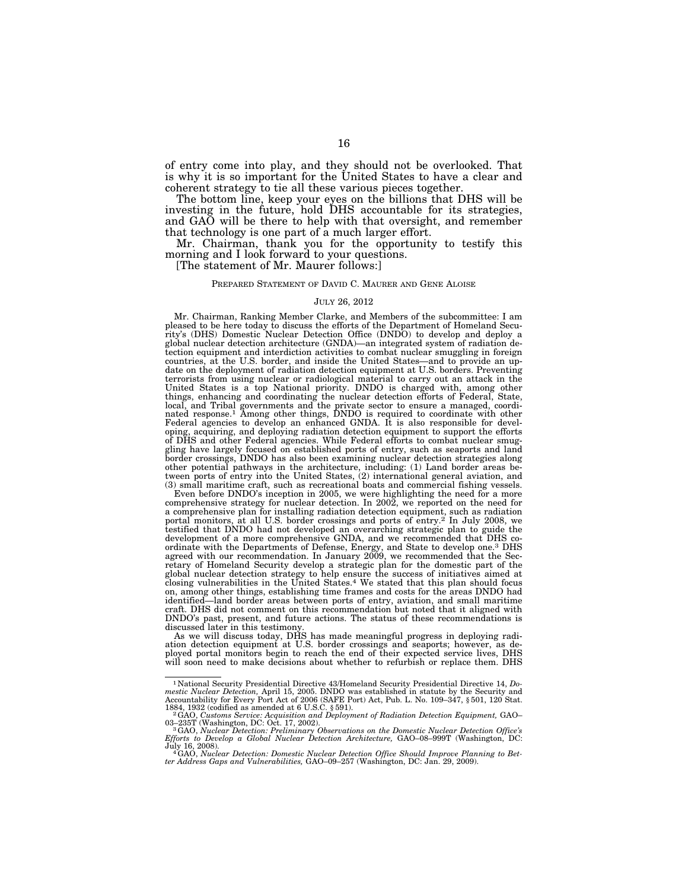of entry come into play, and they should not be overlooked. That is why it is so important for the United States to have a clear and coherent strategy to tie all these various pieces together.

The bottom line, keep your eyes on the billions that DHS will be investing in the future, hold DHS accountable for its strategies, and GAO will be there to help with that oversight, and remember that technology is one part of a much larger effort.

Mr. Chairman, thank you for the opportunity to testify this morning and I look forward to your questions.

[The statement of Mr. Maurer follows:]

#### PREPARED STATEMENT OF DAVID C. MAURER AND GENE ALOISE

#### JULY 26, 2012

Mr. Chairman, Ranking Member Clarke, and Members of the subcommittee: I am pleased to be here today to discuss the efforts of the Department of Homeland Security's (DHS) Domestic Nuclear Detection Office (DNDO) to develop and deploy a global nuclear detection architecture (GNDA)—an integrated system of radiation detection equipment and interdiction activities to combat nuclear smuggling in foreign countries, at the U.S. border, and inside the United States—and to provide an update on the deployment of radiation detection equipment at U.S. borders. Preventing terrorists from using nuclear or radiological material to carry out an attack in the United States is a top National priority. DNDO is charged with, among other things, enhancing and coordinating the nuclear detection efforts of Federal, State, local, and Tribal governments and the private sector to ensure a managed, coordi-nated response.1 Among other things, DNDO is required to coordinate with other Federal agencies to develop an enhanced GNDA. It is also responsible for developing, acquiring, and deploying radiation detection equipment to support the efforts of DHS and other Federal agencies. While Federal efforts to combat nuclear smuggling have largely focused on established ports of entry, such as seaports and land border crossings, DNDO has also been examining nuclear detection strategies along other potential pathways in the architecture, including: (1) Land border areas be-tween ports of entry into the United States, (2) international general aviation, and (3) small maritime craft, such as recreational boats and commercial fishing vessels.

Even before DNDO's inception in 2005, we were highlighting the need for a more comprehensive strategy for nuclear detection. In 2002, we reported on the need for a comprehensive plan for installing radiation detection equipment, such as radiation portal monitors, at all U.S. border crossings and ports of entry.<sup>2</sup> In July 2008, we testified that DNDO had not developed an overarching strategic plan to guide the development of a more comprehensive GNDA, and we recommended that DHS coordinate with the Departments of Defense, Energy, and State to develop one.3 DHS agreed with our recommendation. In January 2009, we recommended that the Secretary of Homeland Security develop a strategic plan for the domestic part of the global nuclear detection strategy to help ensure the success of initiatives aimed at closing vulnerabilities in the United States.4 We stated that this plan should focus on, among other things, establishing time frames and costs for the areas DNDO had identified—land border areas between ports of entry, aviation, and small maritime craft. DHS did not comment on this recommendation but noted that it aligned with DNDO's past, present, and future actions. The status of these recommendations is discussed later in this testimony.

As we will discuss today, DHS has made meaningful progress in deploying radiation detection equipment at U.S. border crossings and seaports; however, as deployed portal monitors begin to reach the end of their expected service lives, DHS will soon need to make decisions about whether to refurbish or replace them. DHS

<sup>&</sup>lt;sup>1</sup> National Security Presidential Directive 43/Homeland Security Presidential Directive 14, *Domestic Nuclear Detection*, April 15, 2005. DNDO was established in statute by the Security and Accountability for Every Port 1884, 1932 (codified as amended at 6 U.S.C. § 591). 2GAO, *Customs Service: Acquisition and Deployment of Radiation Detection Equipment,* GAO–

<sup>03–235</sup>T (Washington, DC: Oct. 17, 2002).<br><sup>3</sup> GAO, *Nuclear Detection: Preliminary Observations on the Domestic Nuclear Detection Office's*<br>Efforts *to Develop a Global Nuclear Detection Architecture,* GAO–08–999T (Washingt

July 16, 2008). 4GAO, *Nuclear Detection: Domestic Nuclear Detection Office Should Improve Planning to Bet-ter Address Gaps and Vulnerabilities,* GAO–09–257 (Washington, DC: Jan. 29, 2009).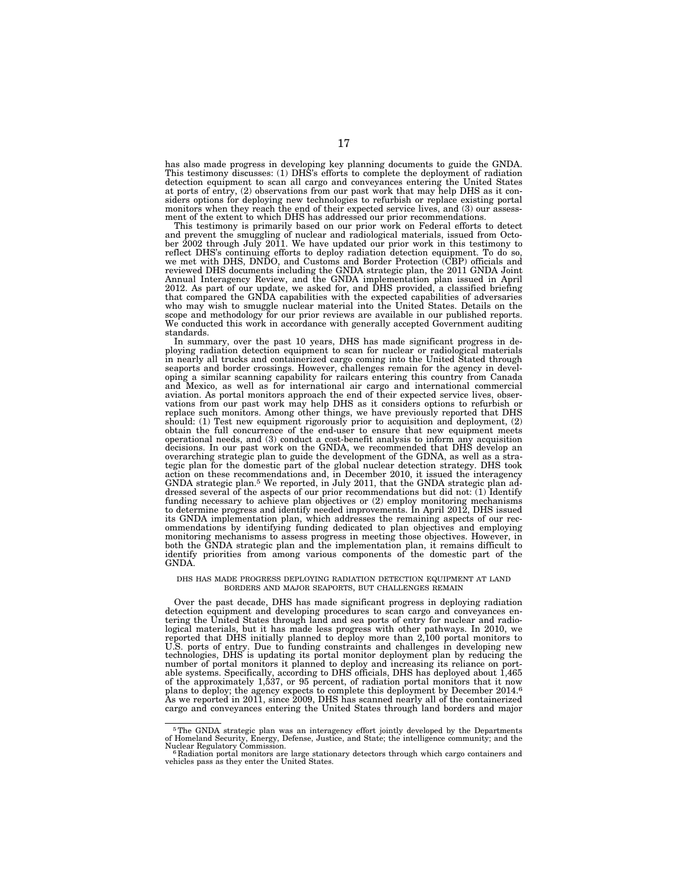has also made progress in developing key planning documents to guide the GNDA. This testimony discusses: (1) DHS's efforts to complete the deployment of radiation detection equipment to scan all cargo and conveyances entering the United States at ports of entry, (2) observations from our past work that may help DHS as it considers options for deploying new technologies to refurbish or replace existing portal monitors when they reach the end of their expected service lives, and (3) our assessment of the extent to which DHS has addressed our prior recommendations.

This testimony is primarily based on our prior work on Federal efforts to detect and prevent the smuggling of nuclear and radiological materials, issued from Octo-ber 2002 through July 2011. We have updated our prior work in this testimony to reflect DHS's continuing efforts to deploy radiation detection equipment. To do so, we met with DHS, DNDO, and Customs and Border Protection (CBP) officials and reviewed DHS documents including the GNDA strategic plan, the 2011 GNDA Joint Annual Interagency Review, and the GNDA implementation plan issued in April 2012. As part of our update, we asked for, and DHS provided, a classified briefing that compared the GNDA capabilities with the expected capabilities of adversaries who may wish to smuggle nuclear material into the United States. Details on the scope and methodology for our prior reviews are available in our published reports. We conducted this work in accordance with generally accepted Government auditing standards.

In summary, over the past 10 years, DHS has made significant progress in deploying radiation detection equipment to scan for nuclear or radiological materials in nearly all trucks and containerized cargo coming into the United Stated through seaports and border crossings. However, challenges remain for the agency in developing a similar scanning capability for railcars entering this country from Canada and Mexico, as well as for international air cargo and international commercial aviation. As portal monitors approach the end of their expected service lives, observations from our past work may help DHS as it considers options to refurbish or replace such monitors. Among other things, we have previously reported that DHS should: (1) Test new equipment rigorously prior to acquisition and deployment, (2) obtain the full concurrence of the end-user to ensure that new equipment meets operational needs, and (3) conduct a cost-benefit analysis to inform any acquisition decisions. In our past work on the GNDA, we recommended that DHS develop an overarching strategic plan to guide the development of the GDNA, as well as a strategic plan for the domestic part of the global nuclear detection strategy. DHS took<br>action on these recommendations and, in December 2010, it issued the interagency<br>GNDA strategic plan.<sup>5</sup> We reported, in July 2011, that t dressed several of the aspects of our prior recommendations but did not: (1) Identify funding necessary to achieve plan objectives or (2) employ monitoring mechanisms to determine progress and identify needed improvements. In April 2012, DHS issued its GNDA implementation plan, which addresses the remaining aspects of our recommendations by identifying funding dedicated to plan objectives and employing monitoring mechanisms to assess progress in meeting those objectives. However, in<br>both the GNDA strategic plan and the implementation plan, it remains difficult to<br>identify priorities from among various components of the d GNDA.

#### DHS HAS MADE PROGRESS DEPLOYING RADIATION DETECTION EQUIPMENT AT LAND BORDERS AND MAJOR SEAPORTS, BUT CHALLENGES REMAIN

Over the past decade, DHS has made significant progress in deploying radiation detection equipment and developing procedures to scan cargo and conveyances en-tering the United States through land and sea ports of entry for nuclear and radiological materials, but it has made less progress with other pathways. In 2010, we reported that DHS initially planned to deploy more than 2,100 portal monitors to U.S. ports of entry. Due to funding constraints and challenges in developing new technologies, DHS is updating its portal monitor deployment plan by reducing the number of portal monitors it planned to deploy and increasing its reliance on port-able systems. Specifically, according to DHS officials, DHS has deployed about 1,465 of the approximately 1,537, or 95 percent, of radiation portal monitors that it now<br>plans to deploy; the agency expects to complete this deployment by December 2014.<sup>6</sup><br>As we reported in 2011, since 2009, DHS has scanned n cargo and conveyances entering the United States through land borders and major

<sup>5</sup>The GNDA strategic plan was an interagency effort jointly developed by the Departments of Homeland Security, Energy, Defense, Justice, and State; the intelligence community; and the

Nuclear Regulatory Commission. 6 Radiation portal monitors are large stationary detectors through which cargo containers and vehicles pass as they enter the United States.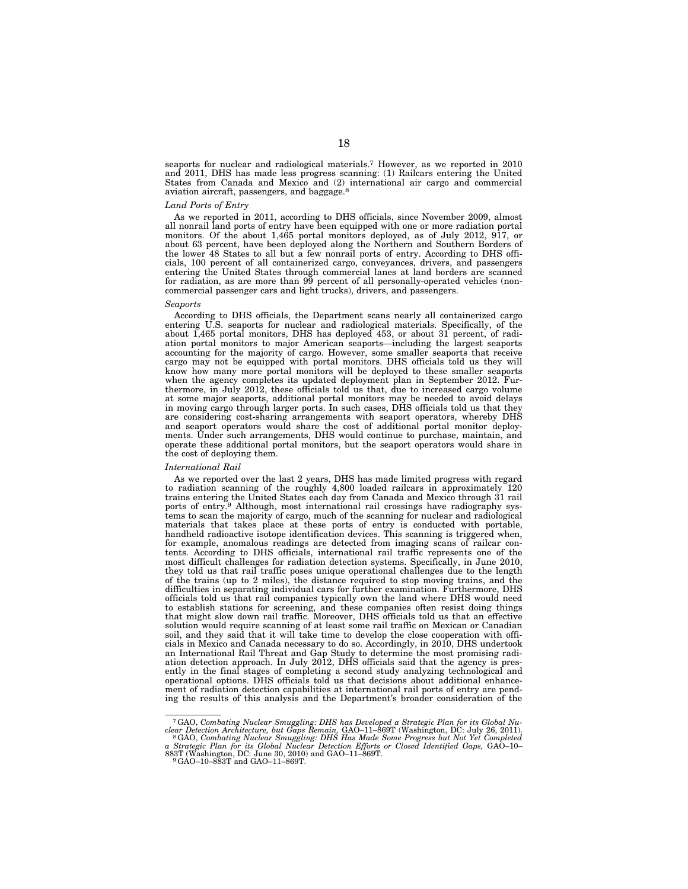seaports for nuclear and radiological materials.7 However, as we reported in 2010 and 2011, DHS has made less progress scanning: (1) Railcars entering the United States from Canada and Mexico and (2) international air cargo and commercial aviation aircraft, passengers, and baggage.8

#### *Land Ports of Entry*

As we reported in 2011, according to DHS officials, since November 2009, almost all nonrail land ports of entry have been equipped with one or more radiation portal monitors. Of the about 1,465 portal monitors deployed, as of July 2012, 917, or about 63 percent, have been deployed along the Northern and Southern Borders of the lower 48 States to all but a few nonrail ports of entry. According to DHS officials, 100 percent of all containerized cargo, conveyances, drivers, and passengers entering the United States through commercial lanes at land borders are scanned for radiation, as are more than 99 percent of all personally-operated vehicles (noncommercial passenger cars and light trucks), drivers, and passengers.

#### *Seaports*

According to DHS officials, the Department scans nearly all containerized cargo entering U.S. seaports for nuclear and radiological materials. Specifically, of the about 1,465 portal monitors, DHS has deployed 453, or about 31 percent, of radiation portal monitors to major American seaports—including the largest seaports accounting for the majority of cargo. However, some smaller seaports that receive cargo may not be equipped with portal monitors. DHS officials told us they will know how many more portal monitors will be deployed to these smaller seaports when the agency completes its updated deployment plan in September 2012. Furthermore, in July 2012, these officials told us that, due to increased cargo volume at some major seaports, additional portal monitors may be needed to avoid delays in moving cargo through larger ports. In such cases, DHS officials told us that they are considering cost-sharing arrangements with seaport operators, whereby DHS and seaport operators would share the cost of additional portal monitor deployments. Under such arrangements, DHS would continue to purchase, maintain, and operate these additional portal monitors, but the seaport operators would share in the cost of deploying them.

#### *International Rail*

As we reported over the last 2 years, DHS has made limited progress with regard to radiation scanning of the roughly 4,800 loaded railcars in approximately 120 trains entering the United States each day from Canada and Mexico through 31 rail ports of entry.<sup>9</sup> Although, most international rail crossings have radiography systems to scan the majority of cargo, much of the scanning for nuclear and radiological materials that takes place at these ports of entry is conducted with portable, handheld radioactive isotope identification devices. This scanning is triggered when, for example, anomalous readings are detected from imaging scans of railcar contents. According to DHS officials, international rail traffic represents one of the most difficult challenges for radiation detection systems. Specifically, in June 2010, they told us that rail traffic poses unique operational challenges due to the length of the trains (up to 2 miles), the distance required to stop moving trains, and the difficulties in separating individual cars for further examination. Furthermore, DHS officials told us that rail companies typically own the land where DHS would need to establish stations for screening, and these companies often resist doing things that might slow down rail traffic. Moreover, DHS officials told us that an effective solution would require scanning of at least some rail traffic on Mexican or Canadian soil, and they said that it will take time to develop the close cooperation with officials in Mexico and Canada necessary to do so. Accordingly, in 2010, DHS undertook an International Rail Threat and Gap Study to determine the most promising radiation detection approach. In July 2012, DHS officials said that the agency is presently in the final stages of completing a second study analyzing technological and operational options. DHS officials told us that decisions about additional enhancement of radiation detection capabilities at international rail ports of entry are pending the results of this analysis and the Department's broader consideration of the

<sup>&</sup>lt;sup>7</sup>GAO, Combating Nuclear Smuggling: DHS has Developed a Strategic Plan for its Global Nuclear Detection Architecture, but Gaps Remain, GAO-11-869T (Washington, DC: July 26, 2011).<br><sup>8</sup>GAO, Combating Nuclear Smuggling: DHS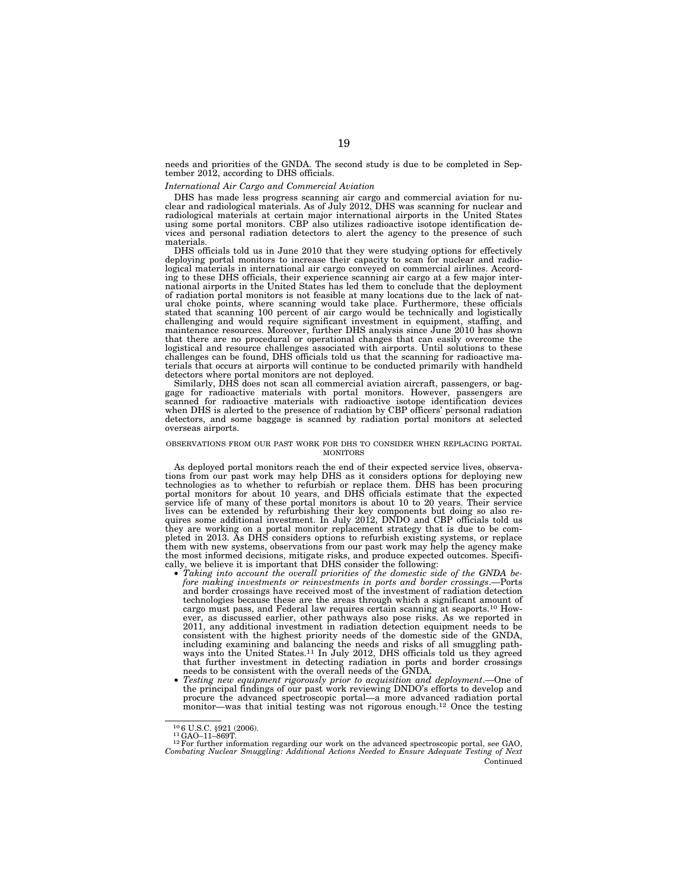needs and priorities of the GNDA. The second study is due to be completed in September 2012, according to DHS officials.

#### *International Air Cargo and Commercial Aviation*

DHS has made less progress scanning air cargo and commercial aviation for nuclear and radiological materials. As of July 2012, DHS was scanning for nuclear and radiological materials at certain major international airports in the United States using some portal monitors. CBP also utilizes radioactive isotope identification devices and personal radiation detectors to alert the agency to the presence of such materials.

DHS officials told us in June 2010 that they were studying options for effectively deploying portal monitors to increase their capacity to scan for nuclear and radiological materials in international air cargo conveyed on commercial airlines. According to these DHS officials, their experience scanning air cargo at a few major international airports in the United States has led them to conclude that the deployment of radiation portal monitors is not feasible at many locations due to the lack of natural choke points, where scanning would take place. Furthermore, these officials stated that scanning 100 percent of air cargo would be technically and logistically challenging and would require significant investment in equipment, staffing, and maintenance resources. Moreover, further DHS analysis since June 2010 has shown that there are no procedural or operational changes that can easily overcome the logistical and resource challenges associated with airports. Until solutions to these challenges can be found, DHS officials told us that the scanning for radioactive materials that occurs at airports will continue to be conducted primarily with handheld

detectors where portal monitors are not deployed. Similarly, DHS does not scan all commercial aviation aircraft, passengers, or baggage for radioactive materials with portal monitors. However, passengers are scanned for radioactive materials with radioactive isotope identification devices when DHS is alerted to the presence of radiation by CBP officers' personal radiation detectors, and some baggage is scanned by radiation portal monitors at selected overseas airports.

#### OBSERVATIONS FROM OUR PAST WORK FOR DHS TO CONSIDER WHEN REPLACING PORTAL MONITORS

As deployed portal monitors reach the end of their expected service lives, observations from our past work may help DHS as it considers options for deploying new technologies as to whether to refurbish or replace them. DHS has been procuring portal monitors for about 10 years, and DHS officials estimate that the expected service life of many of these portal monitors is about 10 to 20 years. Their service lives can be extended by refurbishing their key components but doing so also re-quires some additional investment. In July 2012, DNDO and CBP officials told us they are working on a portal monitor replacement strategy that is due to be completed in 2013. As DHS considers options to refurbish existing systems, or replace them with new systems, observations from our past work may h cally, we believe it is important that DHS consider the following: • *Taking into account the overall priorities of the domestic side of the GNDA be-*

- *fore making investments or reinvestments in ports and border crossings*.—Ports and border crossings have received most of the investment of radiation detection technologies because these are the areas through which a significant amount of cargo must pass, and Federal law requires certain scanning at seaports.10 However, as discussed earlier, other pathways also pose risks. As we reported in 2011, any additional investment in radiation detection equipment needs to be consistent with the highest priority needs of the domestic side of the GNDA, including examining and balancing the needs and risks of all smuggling pathways into the United States.<sup>11</sup> In July 2012, DHS officials told us they agreed that further investment in detecting radiation in ports and border crossings needs to be consistent with the overall needs of the GNDA. • *Testing new equipment rigorously prior to acquisition and deployment*.—One of
- the principal findings of our past work reviewing DNDO's efforts to develop and procure the advanced spectroscopic portal—a more advanced radiation portal monitor—was that initial testing was not rigorous enough.<sup>12</sup> Once the testing

<sup>&</sup>lt;sup>10</sup>6 U.S.C. §921 (2006).<br><sup>11</sup>GAO–11–869T.<br><sup>12</sup>For further information regarding our work on the advanced spectroscopic portal, see GAO, *Combating Nuclear Smuggling: Additional Actions Needed to Ensure Adequate Testing of Next*  Continued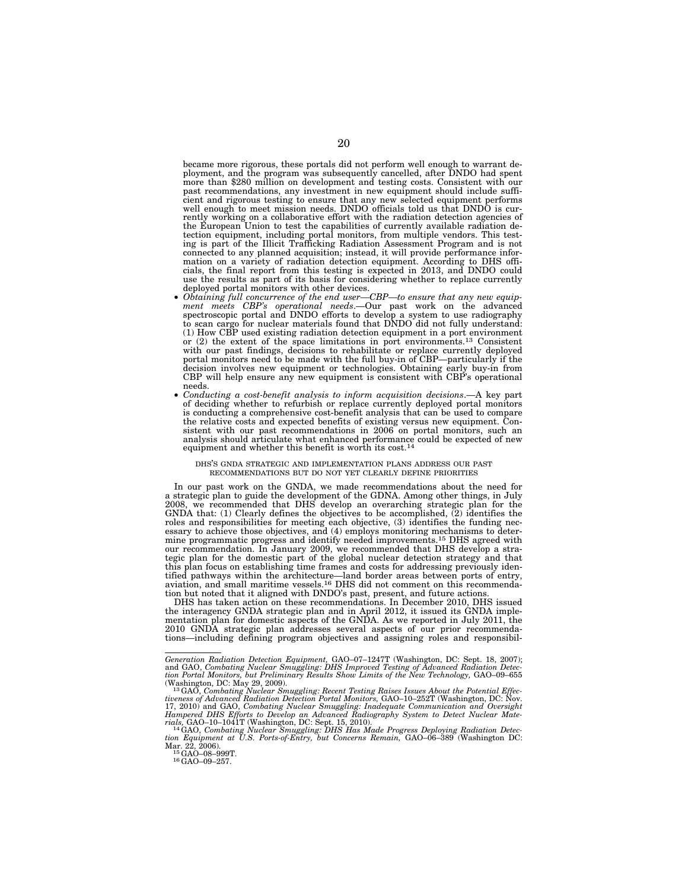became more rigorous, these portals did not perform well enough to warrant deployment, and the program was subsequently cancelled, after DNDO had spent more than \$280 million on development and testing costs. Consistent with our past recommendations, any investment in new equipment should include sufficient and rigorous testing to ensure that any new selected equipment performs well enough to meet mission needs. DNDO officials told us that DNDO is currently working on a collaborative effort with the radiation detection agencies of the European Union to test the capabilities of currently available radiation detection equipment, including portal monitors, from multiple vendors. This test-<br>ing is part of the Illicit Trafficking Radiation Assessment Program and is not<br>connected to any planned acquisition; instead, it will provide mation on a variety of radiation detection equipment. According to DHS offi-cials, the final report from this testing is expected in 2013, and DNDO could use the results as part of its basis for considering whether to replace currently deployed portal monitors with other devices.

- deployed portal monitors with other devices. *Obtaining full concurrence of the end user—CBP—to ensure that any new equip-ment meets CBP's operational needs*.—Our past work on the advanced spectroscopic portal and DNDO efforts to develop a system to use radiography to scan cargo for nuclear materials found that DNDO did not fully understand: (1) How CBP used existing radiation detection equipment in a port environment or (2) the extent of the space limitations in port environments.<sup>13</sup> Consistent with our past findings, decisions to rehabilitate or replace currently deployed portal monitors need to be made with the full buy-in of CBP—particularly if the decision involves new equipment or technologies. Obtaining early buy-in from CBP will help ensure any new equipment is consistent with CBP's operational
- needs.<br>• *Conducting a cost-benefit analysis to inform acquisition decisions*.—A key part of deciding whether to refurbish or replace currently deployed portal monitors is conducting a comprehensive cost-benefit analysis that can be used to compare the relative costs and expected benefits of existing versus new equipment. Consistent with our past recommendations in 2006 on portal monitors, such an analysis should articulate what enhanced performance could be expected of new equipment and whether this benefit is worth its cost.<sup>14</sup>

#### DHS'S GNDA STRATEGIC AND IMPLEMENTATION PLANS ADDRESS OUR PAST RECOMMENDATIONS BUT DO NOT YET CLEARLY DEFINE PRIORITIES

In our past work on the GNDA, we made recommendations about the need for a strategic plan to guide the development of the GDNA. Among other things, in July<br>2008, we recommended that DHS develop an overarching strategic plan for the<br>GNDA that: (1) Clearly defines the objectives to be accomplishe roles and responsibilities for meeting each objective,  $(3)$  identifies the funding necessary to achieve those objectives, and  $(4)$  employs monitoring mechanisms to determine programmatic progress and identify needed imp our recommendation. In January 2009, we recommended that DHS develop a stra-tegic plan for the domestic part of the global nuclear detection strategy and that this plan focus on establishing time frames and costs for addressing previously identified pathways within the architecture—land border areas between ports of entry, aviation, and small maritime vessels.16 DHS did not comment on this recommendation but noted that it aligned with DNDO's past, present, and future actions.

DHS has taken action on these recommendations. In December 2010, DHS issued the interagency GNDA strategic plan and in April 2012, it issued its GNDA imple-mentation plan for domestic aspects of the GNDA. As we reported in July 2011, the 2010 GNDA strategic plan addresses several aspects of our prior recommenda-tions—including defining program objectives and assigning roles and responsibil-

Generation Radiation Detection Equipment, GAO–07–1247T (Washington, DC: Sept. 18, 2007);<br>and GAO, Combating Nuclear Smuggling: DHS Improved Testing of Advanced Radiation Detec-<br>tion Portal Monitors, but Preliminary Results

<sup>(</sup>Washington, DC: May 29, 2009).<br><sup>13</sup>GAO, Combating Nuclear Smuggling: Recent Testing Raises Issues About the Potential Effec-<br>tiveness of Advanced Radiation Detection Portal Monitors, GAO–10–252T (Washington, DC: Nov. 17, 2010) and GAO, *Combating Nuclear Smuggling: Inadequate Communication and Oversight Hampered DHS Efforts to Develop an Advanced Radiography System to Detect Nuclear Mate-*

rials, GAO-10-1041T (Washington, DC: Sept. 15, 2010).<sup>14</sup>GAO, Combating Nuclear Smuggling: DHS Has Made Progress Deploying Radiation Detection Equipment at U.S. Ports-of-Entry, but Concerns Remain, GAO-06-389 (Washington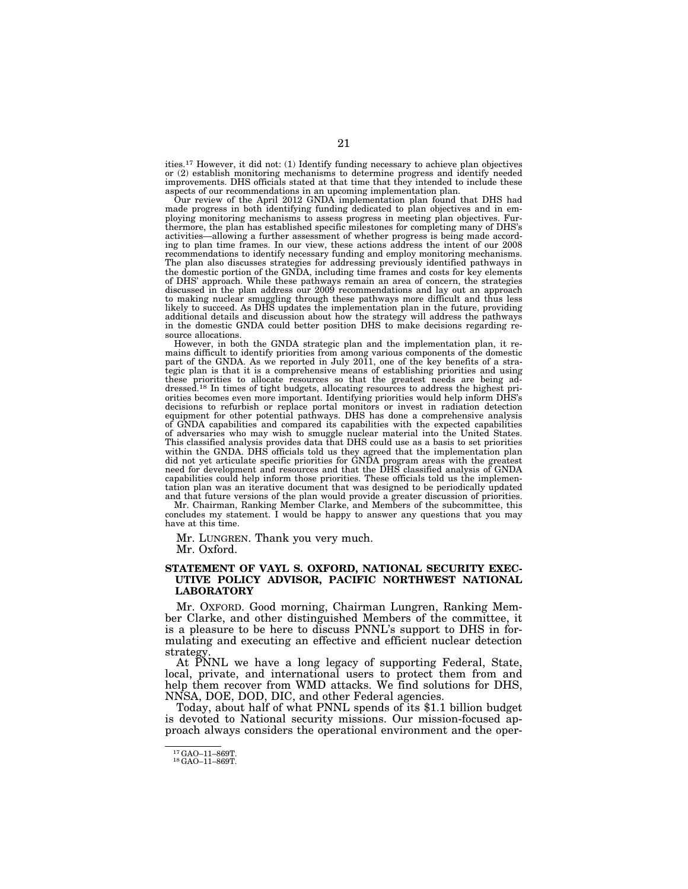ities.17 However, it did not: (1) Identify funding necessary to achieve plan objectives or (2) establish monitoring mechanisms to determine progress and identify needed improvements. DHS officials stated at that time that they intended to include these aspects of our recommendations in an upcoming implementation plan.

Our review of the April 2012 GNDA implementation plan found that DHS had made progress in both identifying funding dedicated to plan objectives and in employing monitoring mechanisms to assess progress in meeting plan objectives. Furthermore, the plan has established specific milestones for completing many of DHS's activities—allowing a further assessment of whether progress is being made according to plan time frames. In our view, these actions address the intent of our 2008 recommendations to identify necessary funding and employ monitoring mechanisms. The plan also discusses strategies for addressing previously identified pathways in the domestic portion of the GNDA, including time frames and costs for key elements of DHS' approach. While these pathways remain an area of concern, the strategies discussed in the plan address our 2009 recommendations and lay out an approach to making nuclear smuggling through these pathways more difficult and thus less likely to succeed. As DHS updates the implementation plan in the future, providing additional details and discussion about how the strategy will address the pathways in the domestic GNDA could better position DHS to make decisions regarding resource allocations.

However, in both the GNDA strategic plan and the implementation plan, it remains difficult to identify priorities from among various components of the domestic part of the GNDA. As we reported in July 2011, one of the key benefits of a strategic plan is that it is a comprehensive means of establishing priorities and using these priorities to allocate resources so that the greatest needs are being ad-dressed.18 In times of tight budgets, allocating resources to address the highest priorities becomes even more important. Identifying priorities would help inform DHS's decisions to refurbish or replace portal monitors or invest in radiation detection equipment for other potential pathways. DHS has done a comprehensive analysis of GNDA capabilities and compared its capabilities with the expected capabilities of adversaries who may wish to smuggle nuclear material into the United States. This classified analysis provides data that DHS could use as a basis to set priorities within the GNDA. DHS officials told us they agreed that the implementation plan did not yet articulate specific priorities for GNDA program areas with the greatest need for development and resources and that the DHS classified analysis of GNDA capabilities could help inform those priorities. These officials told us the implementation plan was an iterative document that was designed to be periodically updated and that future versions of the plan would provide a greater discussion of priorities.

Mr. Chairman, Ranking Member Clarke, and Members of the subcommittee, this concludes my statement. I would be happy to answer any questions that you may have at this time.

Mr. LUNGREN. Thank you very much. Mr. Oxford.

#### **STATEMENT OF VAYL S. OXFORD, NATIONAL SECURITY EXEC-UTIVE POLICY ADVISOR, PACIFIC NORTHWEST NATIONAL LABORATORY**

Mr. OXFORD. Good morning, Chairman Lungren, Ranking Member Clarke, and other distinguished Members of the committee, it is a pleasure to be here to discuss PNNL's support to DHS in formulating and executing an effective and efficient nuclear detection strategy

At PNNL we have a long legacy of supporting Federal, State, local, private, and international users to protect them from and help them recover from WMD attacks. We find solutions for DHS, NNSA, DOE, DOD, DIC, and other Federal agencies.

Today, about half of what PNNL spends of its \$1.1 billion budget is devoted to National security missions. Our mission-focused approach always considers the operational environment and the oper-

<sup>17</sup>GAO–11–869T. 18GAO–11–869T.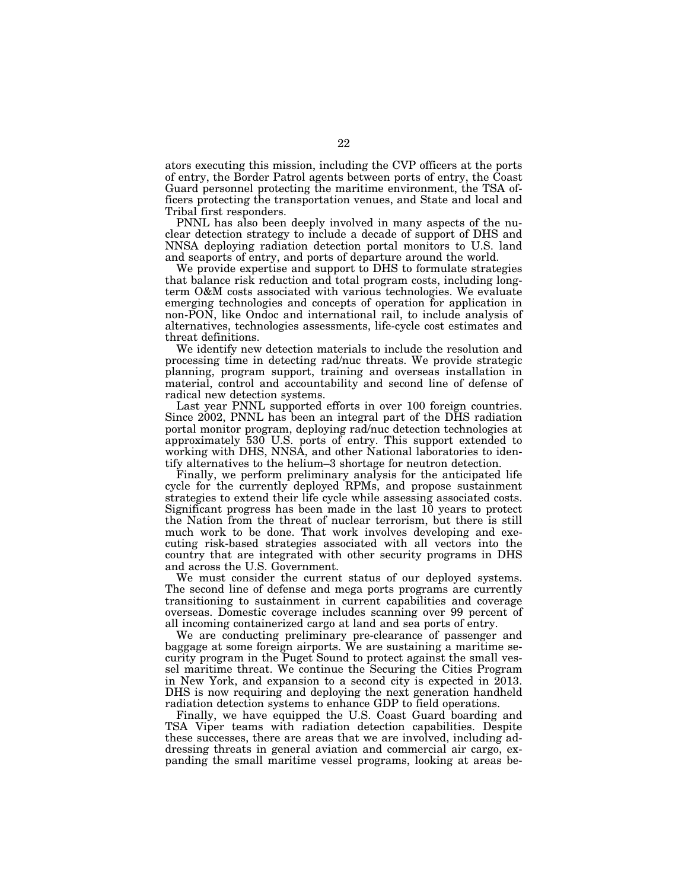ators executing this mission, including the CVP officers at the ports of entry, the Border Patrol agents between ports of entry, the Coast Guard personnel protecting the maritime environment, the TSA officers protecting the transportation venues, and State and local and Tribal first responders.

PNNL has also been deeply involved in many aspects of the nuclear detection strategy to include a decade of support of DHS and NNSA deploying radiation detection portal monitors to U.S. land and seaports of entry, and ports of departure around the world.

We provide expertise and support to DHS to formulate strategies that balance risk reduction and total program costs, including longterm O&M costs associated with various technologies. We evaluate emerging technologies and concepts of operation for application in non-PON, like Ondoc and international rail, to include analysis of alternatives, technologies assessments, life-cycle cost estimates and threat definitions.

We identify new detection materials to include the resolution and processing time in detecting rad/nuc threats. We provide strategic planning, program support, training and overseas installation in material, control and accountability and second line of defense of radical new detection systems.

Last year PNNL supported efforts in over 100 foreign countries. Since 2002, PNNL has been an integral part of the DHS radiation portal monitor program, deploying rad/nuc detection technologies at approximately 530 U.S. ports of entry. This support extended to working with DHS, NNSA, and other National laboratories to identify alternatives to the helium–3 shortage for neutron detection.

Finally, we perform preliminary analysis for the anticipated life cycle for the currently deployed RPMs, and propose sustainment strategies to extend their life cycle while assessing associated costs. Significant progress has been made in the last 10 years to protect the Nation from the threat of nuclear terrorism, but there is still much work to be done. That work involves developing and executing risk-based strategies associated with all vectors into the country that are integrated with other security programs in DHS and across the U.S. Government.

We must consider the current status of our deployed systems. The second line of defense and mega ports programs are currently transitioning to sustainment in current capabilities and coverage overseas. Domestic coverage includes scanning over 99 percent of all incoming containerized cargo at land and sea ports of entry.

We are conducting preliminary pre-clearance of passenger and baggage at some foreign airports. We are sustaining a maritime security program in the Puget Sound to protect against the small vessel maritime threat. We continue the Securing the Cities Program in New York, and expansion to a second city is expected in 2013. DHS is now requiring and deploying the next generation handheld radiation detection systems to enhance GDP to field operations.

Finally, we have equipped the U.S. Coast Guard boarding and TSA Viper teams with radiation detection capabilities. Despite these successes, there are areas that we are involved, including addressing threats in general aviation and commercial air cargo, expanding the small maritime vessel programs, looking at areas be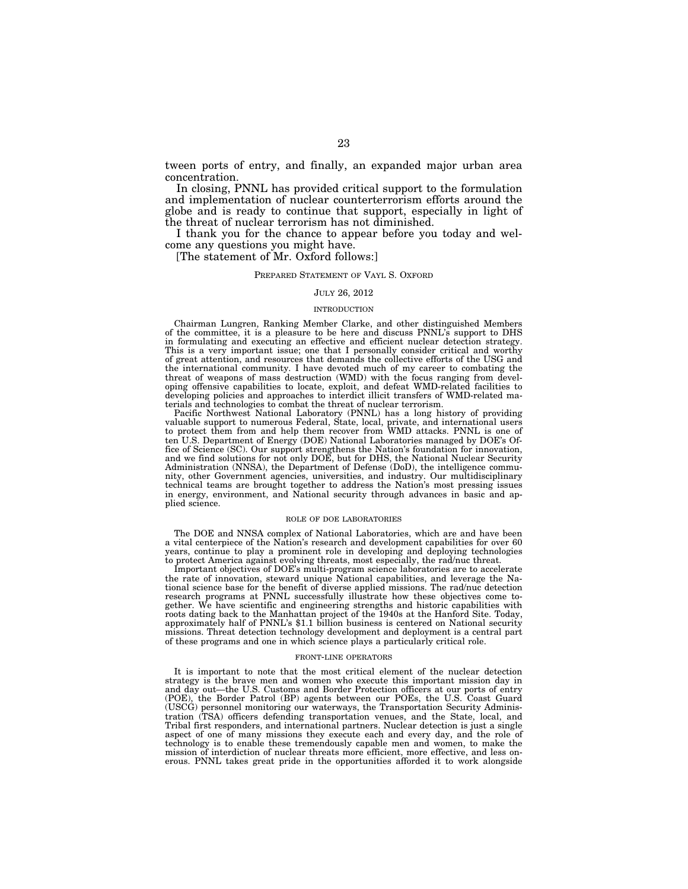tween ports of entry, and finally, an expanded major urban area concentration.

In closing, PNNL has provided critical support to the formulation and implementation of nuclear counterterrorism efforts around the globe and is ready to continue that support, especially in light of the threat of nuclear terrorism has not diminished.

I thank you for the chance to appear before you today and welcome any questions you might have.

[The statement of Mr. Oxford follows:]

#### PREPARED STATEMENT OF VAYL S. OXFORD

#### JULY 26, 2012

#### INTRODUCTION

Chairman Lungren, Ranking Member Clarke, and other distinguished Members of the committee, it is a pleasure to be here and discuss PNNL's support to DHS in formulating and executing an effective and efficient nuclear detection strategy. This is a very important issue; one that I personally consider critical and worthy of great attention, and resources that demands the collective efforts of the USG and the international community. I have devoted much of my career to combating the threat of weapons of mass destruction (WMD) with the focus ranging from developing offensive capabilities to locate, exploit, and defeat WMD-related facilities to developing policies and approaches to interdict illicit transfers of WMD-related materials and technologies to combat the threat of nuclear terrorism.

Pacific Northwest National Laboratory (PNNL) has a long history of providing valuable support to numerous Federal, State, local, private, and international users to protect them from and help them recover from WMD attacks. PNNL is one of ten U.S. Department of Energy (DOE) National Laboratories managed by DOE's Office of Science (SC). Our support strengthens the Nation's foundation for innovation, and we find solutions for not only DOE, but for DHS, the National Nuclear Security Administration (NNSA), the Department of Defense (DoD), the intelligence community, other Government agencies, universities, and industry. Our multidisciplinary technical teams are brought together to address the Nation's most pressing issues in energy, environment, and National security through advances in basic and applied science.

#### ROLE OF DOE LABORATORIES

The DOE and NNSA complex of National Laboratories, which are and have been a vital centerpiece of the Nation's research and development capabilities for over 60 years, continue to play a prominent role in developing and deploying technologies to protect America against evolving threats, most especially, the rad/nuc threat.

Important objectives of DOE's multi-program science laboratories are to accelerate the rate of innovation, steward unique National capabilities, and leverage the National science base for the benefit of diverse applied missions. The rad/nuc detection research programs at PNNL successfully illustrate how these objectives come together. We have scientific and engineering strengths and historic capabilities with roots dating back to the Manhattan project of the 1940s at the Hanford Site. Today, approximately half of PNNL's \$1.1 billion business is centered on National security missions. Threat detection technology development and deployment is a central part of these programs and one in which science plays a particularly critical role.

#### FRONT-LINE OPERATORS

It is important to note that the most critical element of the nuclear detection strategy is the brave men and women who execute this important mission day in and day out—the U.S. Customs and Border Protection officers at our ports of entry (POE), the Border Patrol (BP) agents between our POEs, the U.S. Coast Guard (USCG) personnel monitoring our waterways, the Transportation Security Administration (TSA) officers defending transportation venues, and the State, local, and Tribal first responders, and international partners. Nuclear detection is just a single aspect of one of many missions they execute each and every day, and the role of technology is to enable these tremendously capable men and women, to make the mission of interdiction of nuclear threats more efficient, more effective, and less onerous. PNNL takes great pride in the opportunities afforded it to work alongside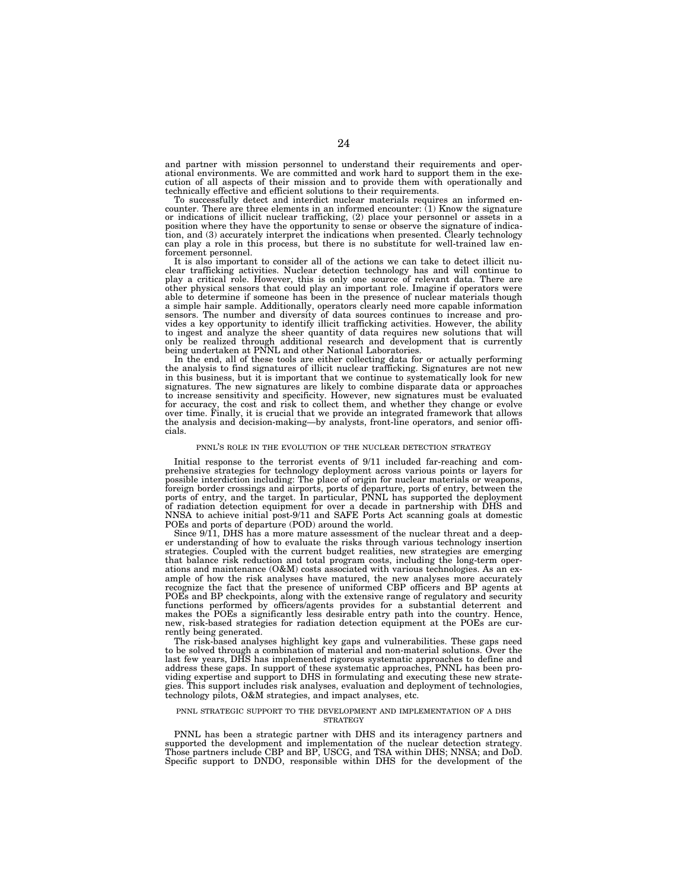and partner with mission personnel to understand their requirements and operational environments. We are committed and work hard to support them in the execution of all aspects of their mission and to provide them with operationally and technically effective and efficient solutions to their requirements.

To successfully detect and interdict nuclear materials requires an informed encounter. There are three elements in an informed encounter: (1) Know the signature or indications of illicit nuclear trafficking, (2) place your personnel or assets in a position where they have the opportunity to sense or observe the signature of indication, and (3) accurately interpret the indications when presented. Clearly technology can play a role in this process, but there is no substitute for well-trained law enforcement personnel.

It is also important to consider all of the actions we can take to detect illicit nuclear trafficking activities. Nuclear detection technology has and will continue to play a critical role. However, this is only one source of relevant data. There are other physical sensors that could play an important role. Imagine if operators were able to determine if someone has been in the presence of nuclear materials though a simple hair sample. Additionally, operators clearly need more capable information sensors. The number and diversity of data sources continues to increase and pro-vides a key opportunity to identify illicit trafficking activities. However, the ability to ingest and analyze the sheer quantity of data requires new solutions that will only be realized through additional research and development that is currently being undertaken at PNNL and other National Laboratories.

In the end, all of these tools are either collecting data for or actually performing the analysis to find signatures of illicit nuclear trafficking. Signatures are not new in this business, but it is important that we continue to systematically look for new signatures. The new signatures are likely to combine disparate data or approaches to increase sensitivity and specificity. However, new signatures must be evaluated for accuracy, the cost and risk to collect them, and whether they change or evolve over time. Finally, it is crucial that we provide an integrated framework that allows the analysis and decision-making—by analysts, front-line operators, and senior officials.

#### PNNL'S ROLE IN THE EVOLUTION OF THE NUCLEAR DETECTION STRATEGY

Initial response to the terrorist events of 9/11 included far-reaching and comprehensive strategies for technology deployment across various points or layers for possible interdiction including: The place of origin for nuclear materials or weapons, foreign border crossings and airports, ports of departure, ports of entry, between the ports of entry, and the target. In particular, PNNL has supported the deployment of radiation detection equipment for over a decade in partnership with DHS and NNSA to achieve initial post-9/11 and SAFE Ports Act scanning goals at domestic POEs and ports of departure (POD) around the world.

Since 9/11, DHS has a more mature assessment of the nuclear threat and a deeper understanding of how to evaluate the risks through various technology insertion strategies. Coupled with the current budget realities, new strategies are emerging that balance risk reduction and total program costs, including the long-term operations and maintenance (O&M) costs associated with various technologies. As an example of how the risk analyses have matured, the new analyses more accurately recognize the fact that the presence of uniformed CBP officers and BP agents at POEs and BP checkpoints, along with the extensive range of regulatory and security functions performed by officers/agents provides for a substantial deterrent and makes the POEs a significantly less desirable entry path into the country. Hence, new, risk-based strategies for radiation detection equipment at the POEs are currently being generated.

The risk-based analyses highlight key gaps and vulnerabilities. These gaps need to be solved through a combination of material and non-material solutions. Over the last few years, DHS has implemented rigorous systematic approaches to define and address these gaps. In support of these systematic approaches, PNNL has been providing expertise and support to DHS in formulating and executing these new strategies. This support includes risk analyses, evaluation and deployment of technologies, technology pilots, O&M strategies, and impact analyses, etc.

#### PNNL STRATEGIC SUPPORT TO THE DEVELOPMENT AND IMPLEMENTATION OF A DHS **STRATEGY**

PNNL has been a strategic partner with DHS and its interagency partners and supported the development and implementation of the nuclear detection strategy. Those partners include CBP and BP, USCG, and TSA within DHS; NNSA; and DoD. Specific support to DNDO, responsible within DHS for the development of the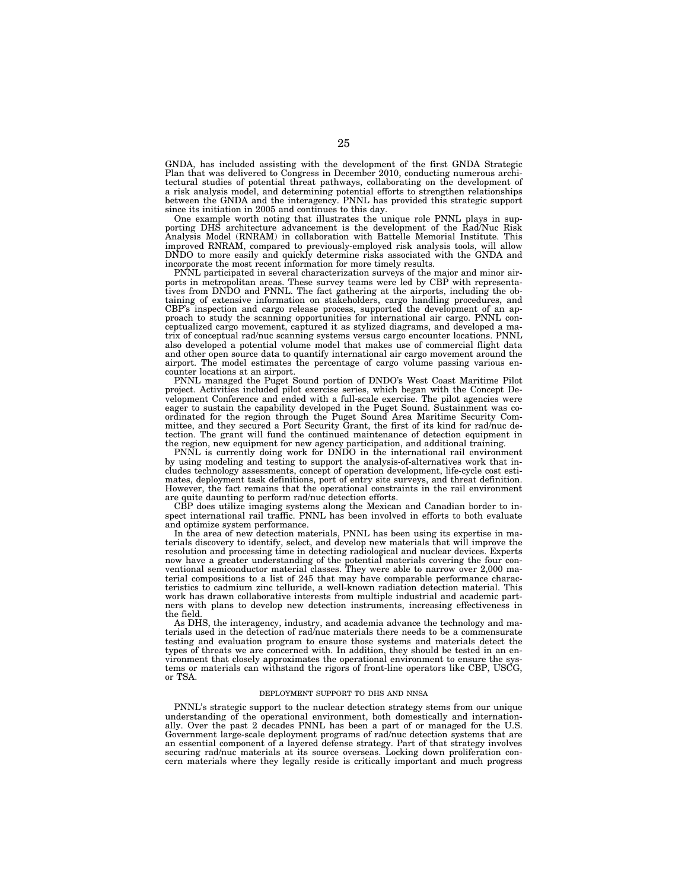GNDA, has included assisting with the development of the first GNDA Strategic Plan that was delivered to Congress in December 2010, conducting numerous architectural studies of potential threat pathways, collaborating on the development of a risk analysis model, and determining potential efforts to strengthen relationships between the GNDA and the interagency. PNNL has provided this strategic support since its initiation in 2005 and continues to this day.

One example worth noting that illustrates the unique role PNNL plays in supporting DHS architecture advancement is the development of the Rad/Nuc Risk Analysis Model (RNRAM) in collaboration with Battelle Memorial Institute. This improved RNRAM, compared to previously-employed risk analysis tools, will allow DNDO to more easily and quickly determine risks associated with the GNDA and incorporate the most recent information for more timely results.

PNNL participated in several characterization surveys of the major and minor airports in metropolitan areas. These survey teams were led by CBP with representatives from DNDO and PNNL. The fact gathering at the airports, including the obtaining of extensive information on stakeholders, cargo handling procedures, and CBP's inspection and cargo release process, supported the development of an approach to study the scanning opportunities for international air cargo. PNNL conceptualized cargo movement, captured it as stylized diagrams, and developed a matrix of conceptual rad/nuc scanning systems versus cargo encounter locations. PNNL also developed a potential volume model that makes use of commercial flight data and other open source data to quantify international air cargo movement around the airport. The model estimates the percentage of cargo volume passing various encounter locations at an airport.

PNNL managed the Puget Sound portion of DNDO's West Coast Maritime Pilot project. Activities included pilot exercise series, which began with the Concept Development Conference and ended with a full-scale exercise. The pilot agencies were eager to sustain the capability developed in the Puget Sound. Sustainment was coordinated for the region through the Puget Sound Area Maritime Security Committee, and they secured a Port Security Grant, the first of its kind for rad/nuc detection. The grant will fund the continued maintenance of detection equipment in the region, new equipment for new agency participation, and additional training.

PNNL is currently doing work for DNDO in the international rail environment by using modeling and testing to support the analysis-of-alternatives work that includes technology assessments, concept of operation development, life-cycle cost estimates, deployment task definitions, port of entry site surveys, and threat definition. However, the fact remains that the operational constraints in the rail environment are quite daunting to perform rad/nuc detection efforts.

CBP does utilize imaging systems along the Mexican and Canadian border to inspect international rail traffic. PNNL has been involved in efforts to both evaluate and optimize system performance.

In the area of new detection materials, PNNL has been using its expertise in materials discovery to identify, select, and develop new materials that will improve the resolution and processing time in detecting radiological and nuclear devices. Experts now have a greater understanding of the potential materials covering the four conventional semiconductor material classes. They were able to narrow over 2,000 material compositions to a list of 245 that may have comparable performance characteristics to cadmium zinc telluride, a well-known radiation detection material. This work has drawn collaborative interests from multiple industrial and academic partners with plans to develop new detection instruments, increasing effectiveness in the field.

As DHS, the interagency, industry, and academia advance the technology and materials used in the detection of rad/nuc materials there needs to be a commensurate testing and evaluation program to ensure those systems and materials detect the types of threats we are concerned with. In addition, they should be tested in an environment that closely approximates the operational environment to ensure the systems or materials can withstand the rigors of front-line operators like CBP, USCG, or TSA.

#### DEPLOYMENT SUPPORT TO DHS AND NNSA

PNNL's strategic support to the nuclear detection strategy stems from our unique understanding of the operational environment, both domestically and internationally. Over the past 2 decades PNNL has been a part of or managed for the U.S. Government large-scale deployment programs of rad/nuc detection systems that are an essential component of a layered defense strategy. Part of that strategy involves securing rad/nuc materials at its source overseas. Locking down proliferation concern materials where they legally reside is critically important and much progress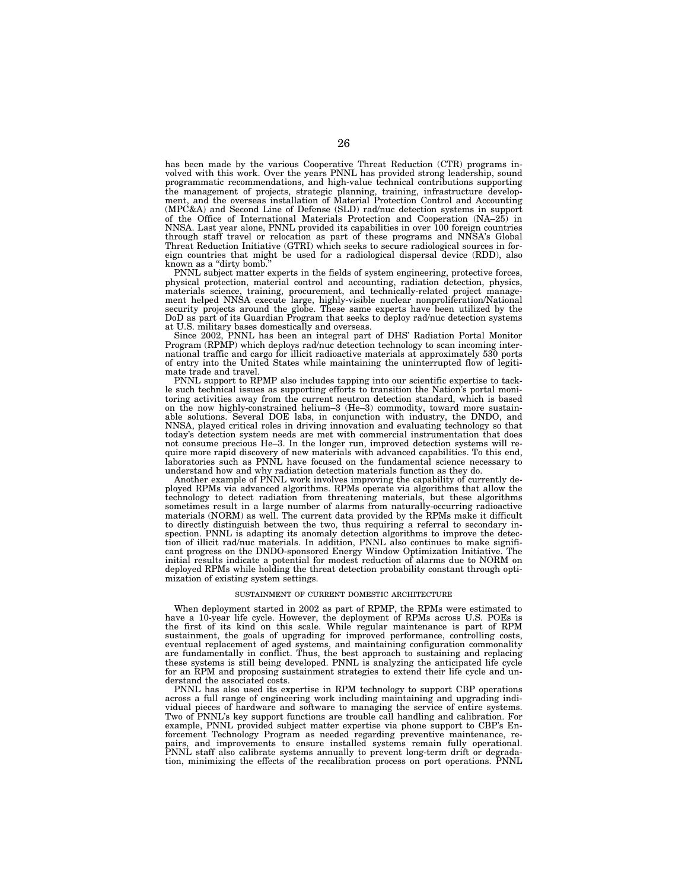has been made by the various Cooperative Threat Reduction (CTR) programs involved with this work. Over the years PNNL has provided strong leadership, sound programmatic recommendations, and high-value technical contributions supporting the management of projects, strategic planning, training, infrastructure development, and the overseas installation of Material Protection Control and Accounting (MPC&A) and Second Line of Defense (SLD) rad/nuc detection systems in support of the Office of International Materials Protection and Cooperation  $(NA-25)$  in NNSA. Last year alone, PNNL provided its capabilities in over 100 foreign countries through staff travel or relocation as part of these programs and NNSA's Global Threat Reduction Initiative (GTRI) which seeks to secure radiological sources in foreign countries that might be used for a radiological dispersal device (RDD), also known as a "dirty bomb.

PNNL subject matter experts in the fields of system engineering, protective forces, physical protection, material control and accounting, radiation detection, physics, materials science, training, procurement, and technically-related project management helped NNSA execute large, highly-visible nuclear nonproliferation/National security projects around the globe. These same experts have been utilized by the DoD as part of its Guardian Program that seeks to deploy rad/nuc detection systems at U.S. military bases domestically and overseas.

Since 2002, PNNL has been an integral part of DHS' Radiation Portal Monitor Program (RPMP) which deploys rad/nuc detection technology to scan incoming international traffic and cargo for illicit radioactive materials at approximately 530 ports of entry into the United States while maintaining the uninterrupted flow of legitimate trade and travel.

PNNL support to RPMP also includes tapping into our scientific expertise to tackle such technical issues as supporting efforts to transition the Nation's portal monitoring activities away from the current neutron detection standard, which is based on the now highly-constrained helium–3 (He–3) commodity, toward more sustainable solutions. Several DOE labs, in conjunction with industry, the DNDO, and NNSA, played critical roles in driving innovation and evaluating technology so that today's detection system needs are met with commercial instrumentation that does not consume precious He–3. In the longer run, improved detection systems will require more rapid discovery of new materials with advanced capabilities. To this end, laboratories such as PNNL have focused on the fundamental science necessary to understand how and why radiation detection materials function as they do.

Another example of PNNL work involves improving the capability of currently deployed RPMs via advanced algorithms. RPMs operate via algorithms that allow the technology to detect radiation from threatening materials, but these algorithms sometimes result in a large number of alarms from naturally-occurring radioactive materials (NORM) as well. The current data provided by the RPMs make it difficult to directly distinguish between the two, thus requiring a referral to secondary inspection. PNNL is adapting its anomaly detection algorithms to improve the detection of illicit rad/nuc materials. In addition, PNNL also continues to make significant progress on the DNDO-sponsored Energy Window Optimization Initiative. The initial results indicate a potential for modest reduction of alarms due to NORM on deployed RPMs while holding the threat detection probability constant through optimization of existing system settings.

#### SUSTAINMENT OF CURRENT DOMESTIC ARCHITECTURE

When deployment started in 2002 as part of RPMP, the RPMs were estimated to have a 10-year life cycle. However, the deployment of RPMs across U.S. POEs is the first of its kind on this scale. While regular maintenance is part of RPM sustainment, the goals of upgrading for improved performance, controlling costs, eventual replacement of aged systems, and maintaining configuration commonality are fundamentally in conflict. Thus, the best approach to sustaining and replacing these systems is still being developed. PNNL is analyzing the anticipated life cycle for an RPM and proposing sustainment strategies to extend their life cycle and understand the associated costs.

PNNL has also used its expertise in RPM technology to support CBP operations across a full range of engineering work including maintaining and upgrading individual pieces of hardware and software to managing the service of entire systems. Two of PNNL's key support functions are trouble call handling and calibration. For example, PNNL provided subject matter expertise via phone support to CBP's Enforcement Technology Program as needed regarding preventive maintenance, repairs, and improvements to ensure installed systems remain fully operational. PNNL staff also calibrate systems annually to prevent long-term drift or degradation, minimizing the effects of the recalibration process on port operations. PNNL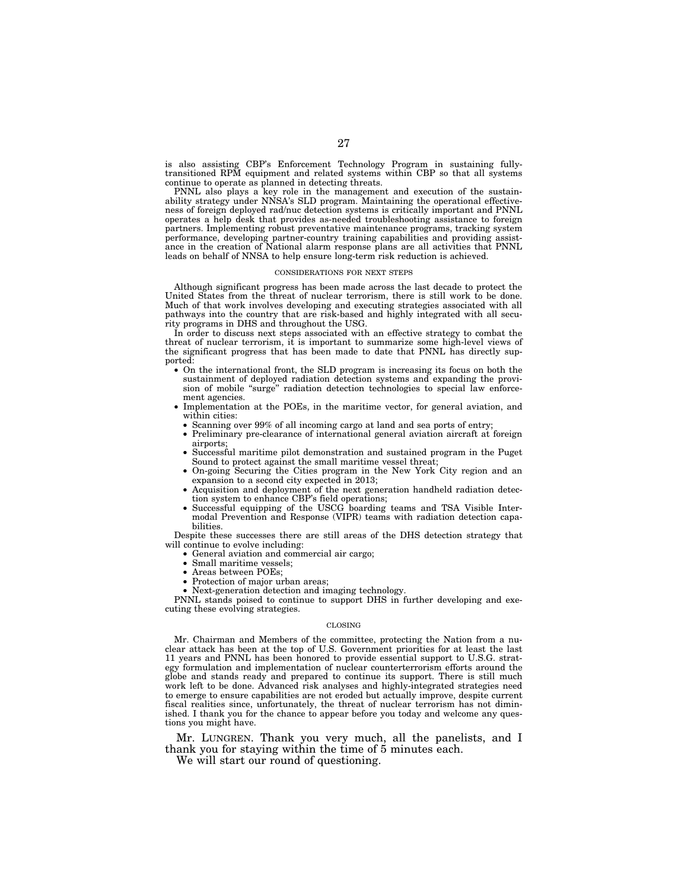is also assisting CBP's Enforcement Technology Program in sustaining fullytransitioned RPM equipment and related systems within CBP so that all systems continue to operate as planned in detecting threats.

PNNL also plays a key role in the management and execution of the sustainability strategy under NNSA's SLD program. Maintaining the operational effectiveness of foreign deployed rad/nuc detection systems is critically important and PNNL operates a help desk that provides as-needed troubleshooting assistance to foreign partners. Implementing robust preventative maintenance programs, tracking system performance, developing partner-country training capabilities and providing assistance in the creation of National alarm response plans are all activities that PNNL leads on behalf of NNSA to help ensure long-term risk reduction is achieved.

#### CONSIDERATIONS FOR NEXT STEPS

Although significant progress has been made across the last decade to protect the United States from the threat of nuclear terrorism, there is still work to be done. Much of that work involves developing and executing strategies associated with all pathways into the country that are risk-based and highly integrated with all security programs in DHS and throughout the USG.

In order to discuss next steps associated with an effective strategy to combat the threat of nuclear terrorism, it is important to summarize some high-level views of the significant progress that has been made to date that PNNL has directly supported:

- On the international front, the SLD program is increasing its focus on both the sustainment of deployed radiation detection systems and expanding the provision of mobile "surge" radiation detection technologies to special law enforcement agencies.
- Implementation at the POEs, in the maritime vector, for general aviation, and within cities:
	- Scanning over 99% of all incoming cargo at land and sea ports of entry;
	- Preliminary pre-clearance of international general aviation aircraft at foreign airports;
	- Successful maritime pilot demonstration and sustained program in the Puget Sound to protect against the small maritime vessel threat;
	- On-going Securing the Cities program in the New York City region and an expansion to a second city expected in 2013;
- Acquisition and deployment of the next generation handheld radiation detection system to enhance CBP's field operations;
- Successful equipping of the USCG boarding teams and TSA Visible Intermodal Prevention and Response (VIPR) teams with radiation detection capabilities.

Despite these successes there are still areas of the DHS detection strategy that will continue to evolve including:

- General aviation and commercial air cargo;
- Small maritime vessels;
- Areas between POEs;
- Protection of major urban areas;
- Next-generation detection and imaging technology.

PNNL stands poised to continue to support DHS in further developing and executing these evolving strategies.

#### CLOSING

Mr. Chairman and Members of the committee, protecting the Nation from a nuclear attack has been at the top of U.S. Government priorities for at least the last 11 years and PNNL has been honored to provide essential support to U.S.G. strategy formulation and implementation of nuclear counterterrorism efforts around the globe and stands ready and prepared to continue its support. There is still much work left to be done. Advanced risk analyses and highly-integrated strategies need to emerge to ensure capabilities are not eroded but actually improve, despite current fiscal realities since, unfortunately, the threat of nuclear terrorism has not diminished. I thank you for the chance to appear before you today and welcome any questions you might have.

Mr. LUNGREN. Thank you very much, all the panelists, and I thank you for staying within the time of 5 minutes each.

We will start our round of questioning.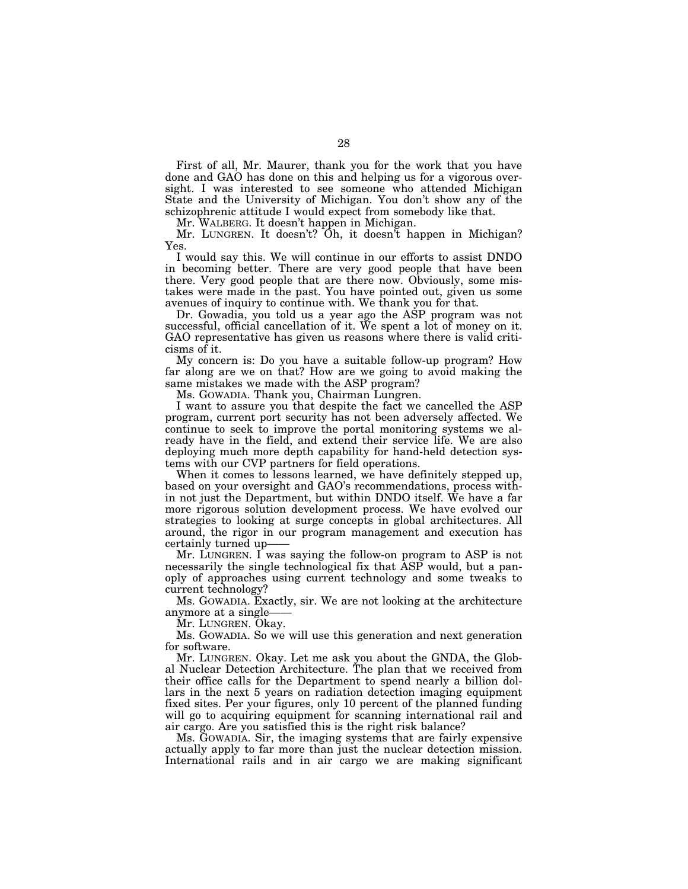First of all, Mr. Maurer, thank you for the work that you have done and GAO has done on this and helping us for a vigorous oversight. I was interested to see someone who attended Michigan State and the University of Michigan. You don't show any of the schizophrenic attitude I would expect from somebody like that.

Mr. WALBERG. It doesn't happen in Michigan.

Mr. LUNGREN. It doesn't? Oh, it doesn't happen in Michigan? Yes.

I would say this. We will continue in our efforts to assist DNDO in becoming better. There are very good people that have been there. Very good people that are there now. Obviously, some mistakes were made in the past. You have pointed out, given us some avenues of inquiry to continue with. We thank you for that.

Dr. Gowadia, you told us a year ago the ASP program was not successful, official cancellation of it. We spent a lot of money on it. GAO representative has given us reasons where there is valid criticisms of it.

My concern is: Do you have a suitable follow-up program? How far along are we on that? How are we going to avoid making the same mistakes we made with the ASP program?

Ms. GOWADIA. Thank you, Chairman Lungren.

I want to assure you that despite the fact we cancelled the ASP program, current port security has not been adversely affected. We continue to seek to improve the portal monitoring systems we already have in the field, and extend their service life. We are also deploying much more depth capability for hand-held detection systems with our CVP partners for field operations.

When it comes to lessons learned, we have definitely stepped up, based on your oversight and GAO's recommendations, process within not just the Department, but within DNDO itself. We have a far more rigorous solution development process. We have evolved our strategies to looking at surge concepts in global architectures. All around, the rigor in our program management and execution has certainly turned up-

Mr. LUNGREN. I was saying the follow-on program to ASP is not necessarily the single technological fix that ASP would, but a panoply of approaches using current technology and some tweaks to current technology?

Ms. GOWADIA. Exactly, sir. We are not looking at the architecture anymore at a single-

Mr. LUNGREN. Okay.

Ms. GOWADIA. So we will use this generation and next generation for software.

Mr. LUNGREN. Okay. Let me ask you about the GNDA, the Global Nuclear Detection Architecture. The plan that we received from their office calls for the Department to spend nearly a billion dollars in the next 5 years on radiation detection imaging equipment fixed sites. Per your figures, only 10 percent of the planned funding will go to acquiring equipment for scanning international rail and air cargo. Are you satisfied this is the right risk balance?

Ms. GOWADIA. Sir, the imaging systems that are fairly expensive actually apply to far more than just the nuclear detection mission. International rails and in air cargo we are making significant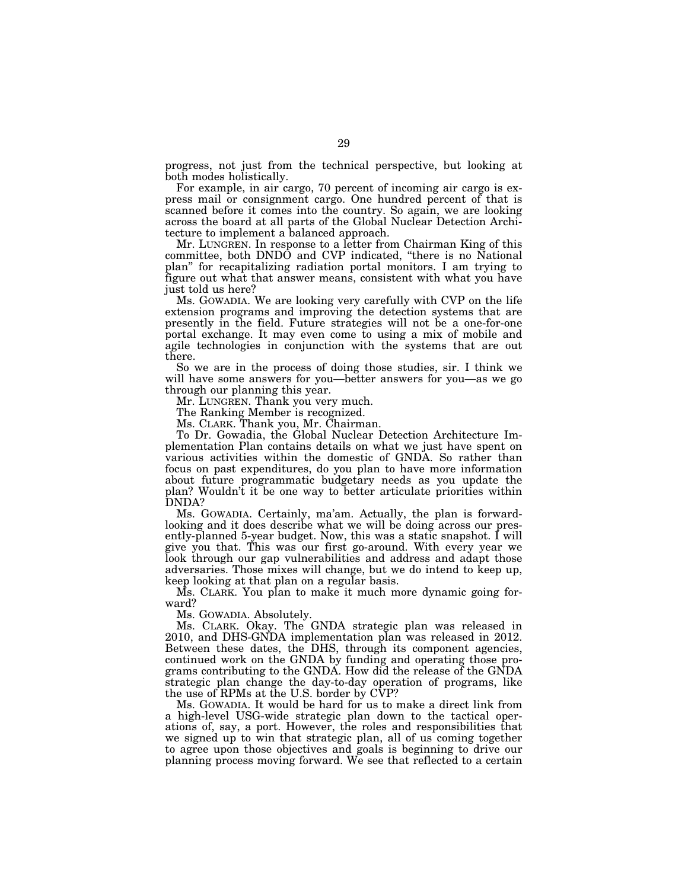progress, not just from the technical perspective, but looking at both modes holistically.

For example, in air cargo, 70 percent of incoming air cargo is express mail or consignment cargo. One hundred percent of that is scanned before it comes into the country. So again, we are looking across the board at all parts of the Global Nuclear Detection Architecture to implement a balanced approach.

Mr. LUNGREN. In response to a letter from Chairman King of this committee, both DNDO and CVP indicated, ''there is no National plan'' for recapitalizing radiation portal monitors. I am trying to figure out what that answer means, consistent with what you have just told us here?

Ms. GOWADIA. We are looking very carefully with CVP on the life extension programs and improving the detection systems that are presently in the field. Future strategies will not be a one-for-one portal exchange. It may even come to using a mix of mobile and agile technologies in conjunction with the systems that are out there.

So we are in the process of doing those studies, sir. I think we will have some answers for you—better answers for you—as we go through our planning this year.

Mr. LUNGREN. Thank you very much.

The Ranking Member is recognized.

Ms. CLARK. Thank you, Mr. Chairman.

To Dr. Gowadia, the Global Nuclear Detection Architecture Implementation Plan contains details on what we just have spent on various activities within the domestic of GNDA. So rather than focus on past expenditures, do you plan to have more information about future programmatic budgetary needs as you update the plan? Wouldn't it be one way to better articulate priorities within DNDA?

Ms. GOWADIA. Certainly, ma'am. Actually, the plan is forwardlooking and it does describe what we will be doing across our presently-planned 5-year budget. Now, this was a static snapshot. I will give you that. This was our first go-around. With every year we look through our gap vulnerabilities and address and adapt those adversaries. Those mixes will change, but we do intend to keep up, keep looking at that plan on a regular basis.

Ms. CLARK. You plan to make it much more dynamic going forward?

Ms. GOWADIA. Absolutely.

Ms. CLARK. Okay. The GNDA strategic plan was released in 2010, and DHS-GNDA implementation plan was released in 2012. Between these dates, the DHS, through its component agencies, continued work on the GNDA by funding and operating those programs contributing to the GNDA. How did the release of the GNDA strategic plan change the day-to-day operation of programs, like the use of RPMs at the U.S. border by CVP?

Ms. GOWADIA. It would be hard for us to make a direct link from a high-level USG-wide strategic plan down to the tactical operations of, say, a port. However, the roles and responsibilities that we signed up to win that strategic plan, all of us coming together to agree upon those objectives and goals is beginning to drive our planning process moving forward. We see that reflected to a certain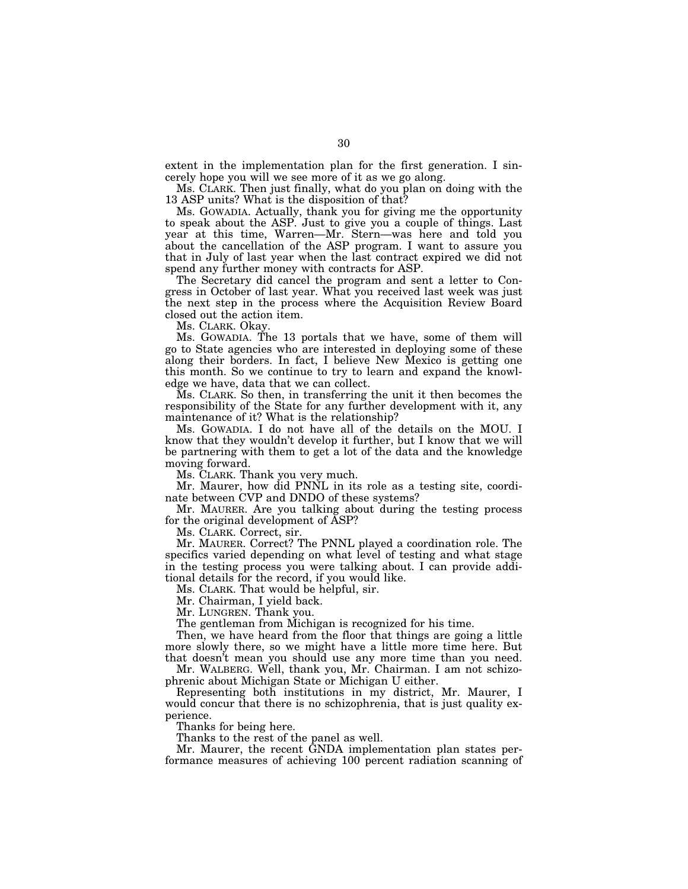extent in the implementation plan for the first generation. I sincerely hope you will we see more of it as we go along.

Ms. CLARK. Then just finally, what do you plan on doing with the 13 ASP units? What is the disposition of that?

Ms. GOWADIA. Actually, thank you for giving me the opportunity to speak about the ASP. Just to give you a couple of things. Last year at this time, Warren—Mr. Stern—was here and told you about the cancellation of the ASP program. I want to assure you that in July of last year when the last contract expired we did not spend any further money with contracts for ASP.

The Secretary did cancel the program and sent a letter to Congress in October of last year. What you received last week was just the next step in the process where the Acquisition Review Board closed out the action item.

Ms. CLARK. Okay.

Ms. GOWADIA. The 13 portals that we have, some of them will go to State agencies who are interested in deploying some of these along their borders. In fact, I believe New Mexico is getting one this month. So we continue to try to learn and expand the knowledge we have, data that we can collect.

Ms. CLARK. So then, in transferring the unit it then becomes the responsibility of the State for any further development with it, any maintenance of it? What is the relationship?

Ms. GOWADIA. I do not have all of the details on the MOU. I know that they wouldn't develop it further, but I know that we will be partnering with them to get a lot of the data and the knowledge moving forward.

Ms. CLARK. Thank you very much.

Mr. Maurer, how did PNNL in its role as a testing site, coordinate between CVP and DNDO of these systems?

Mr. MAURER. Are you talking about during the testing process for the original development of ASP?

Ms. CLARK. Correct, sir.

Mr. MAURER. Correct? The PNNL played a coordination role. The specifics varied depending on what level of testing and what stage in the testing process you were talking about. I can provide additional details for the record, if you would like.

Ms. CLARK. That would be helpful, sir.

Mr. Chairman, I yield back.

Mr. LUNGREN. Thank you.

The gentleman from Michigan is recognized for his time.

Then, we have heard from the floor that things are going a little more slowly there, so we might have a little more time here. But that doesn't mean you should use any more time than you need.

Mr. WALBERG. Well, thank you, Mr. Chairman. I am not schizophrenic about Michigan State or Michigan U either.

Representing both institutions in my district, Mr. Maurer, I would concur that there is no schizophrenia, that is just quality experience.

Thanks for being here.

Thanks to the rest of the panel as well.

Mr. Maurer, the recent GNDA implementation plan states performance measures of achieving 100 percent radiation scanning of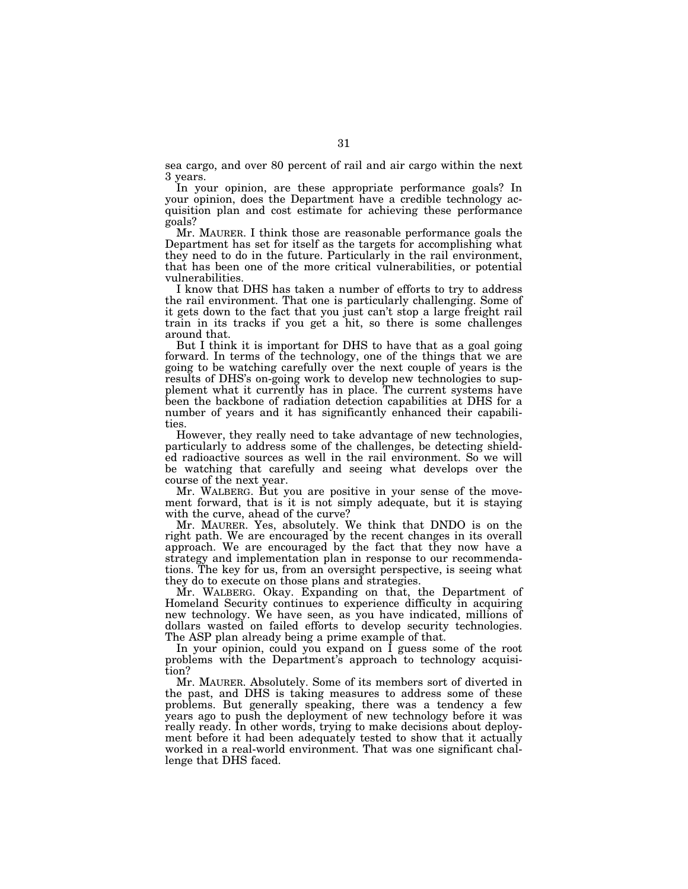sea cargo, and over 80 percent of rail and air cargo within the next 3 years.

In your opinion, are these appropriate performance goals? In your opinion, does the Department have a credible technology acquisition plan and cost estimate for achieving these performance goals?

Mr. MAURER. I think those are reasonable performance goals the Department has set for itself as the targets for accomplishing what they need to do in the future. Particularly in the rail environment, that has been one of the more critical vulnerabilities, or potential vulnerabilities.

I know that DHS has taken a number of efforts to try to address the rail environment. That one is particularly challenging. Some of it gets down to the fact that you just can't stop a large freight rail train in its tracks if you get a hit, so there is some challenges around that.

But I think it is important for DHS to have that as a goal going forward. In terms of the technology, one of the things that we are going to be watching carefully over the next couple of years is the results of DHS's on-going work to develop new technologies to supplement what it currently has in place. The current systems have been the backbone of radiation detection capabilities at DHS for a number of years and it has significantly enhanced their capabilities.

However, they really need to take advantage of new technologies, particularly to address some of the challenges, be detecting shielded radioactive sources as well in the rail environment. So we will be watching that carefully and seeing what develops over the course of the next year.

Mr. WALBERG. But you are positive in your sense of the movement forward, that is it is not simply adequate, but it is staying with the curve, ahead of the curve?

Mr. MAURER. Yes, absolutely. We think that DNDO is on the right path. We are encouraged by the recent changes in its overall approach. We are encouraged by the fact that they now have a strategy and implementation plan in response to our recommendations. The key for us, from an oversight perspective, is seeing what they do to execute on those plans and strategies.

Mr. WALBERG. Okay. Expanding on that, the Department of Homeland Security continues to experience difficulty in acquiring new technology. We have seen, as you have indicated, millions of dollars wasted on failed efforts to develop security technologies. The ASP plan already being a prime example of that.

In your opinion, could you expand on I guess some of the root problems with the Department's approach to technology acquisition?

Mr. MAURER. Absolutely. Some of its members sort of diverted in the past, and DHS is taking measures to address some of these problems. But generally speaking, there was a tendency a few years ago to push the deployment of new technology before it was really ready. In other words, trying to make decisions about deployment before it had been adequately tested to show that it actually worked in a real-world environment. That was one significant challenge that DHS faced.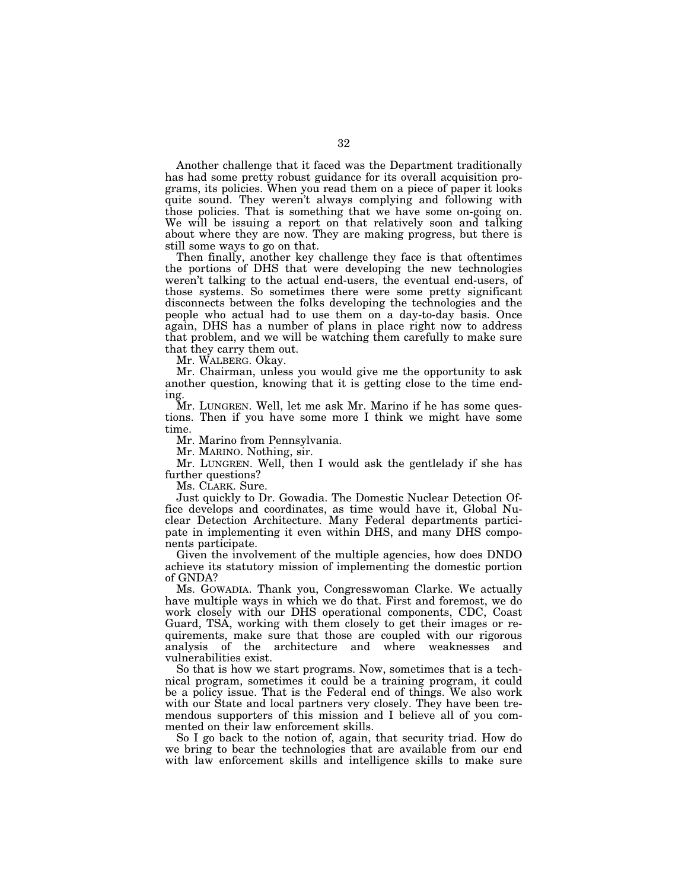Another challenge that it faced was the Department traditionally has had some pretty robust guidance for its overall acquisition programs, its policies. When you read them on a piece of paper it looks quite sound. They weren't always complying and following with those policies. That is something that we have some on-going on. We will be issuing a report on that relatively soon and talking about where they are now. They are making progress, but there is still some ways to go on that.

Then finally, another key challenge they face is that oftentimes the portions of DHS that were developing the new technologies weren't talking to the actual end-users, the eventual end-users, of those systems. So sometimes there were some pretty significant disconnects between the folks developing the technologies and the people who actual had to use them on a day-to-day basis. Once again, DHS has a number of plans in place right now to address that problem, and we will be watching them carefully to make sure that they carry them out.

Mr. WALBERG. Okay.

Mr. Chairman, unless you would give me the opportunity to ask another question, knowing that it is getting close to the time ending.

Mr. LUNGREN. Well, let me ask Mr. Marino if he has some questions. Then if you have some more I think we might have some time.

Mr. Marino from Pennsylvania.

Mr. MARINO. Nothing, sir.

Mr. LUNGREN. Well, then I would ask the gentlelady if she has further questions?

Ms. CLARK. Sure.

Just quickly to Dr. Gowadia. The Domestic Nuclear Detection Office develops and coordinates, as time would have it, Global Nuclear Detection Architecture. Many Federal departments participate in implementing it even within DHS, and many DHS components participate.

Given the involvement of the multiple agencies, how does DNDO achieve its statutory mission of implementing the domestic portion of GNDA?

Ms. GOWADIA. Thank you, Congresswoman Clarke. We actually have multiple ways in which we do that. First and foremost, we do work closely with our DHS operational components, CDC, Coast Guard, TSA, working with them closely to get their images or requirements, make sure that those are coupled with our rigorous analysis of the architecture and where weaknesses and vulnerabilities exist.

So that is how we start programs. Now, sometimes that is a technical program, sometimes it could be a training program, it could be a policy issue. That is the Federal end of things. We also work with our State and local partners very closely. They have been tremendous supporters of this mission and I believe all of you commented on their law enforcement skills.

So I go back to the notion of, again, that security triad. How do we bring to bear the technologies that are available from our end with law enforcement skills and intelligence skills to make sure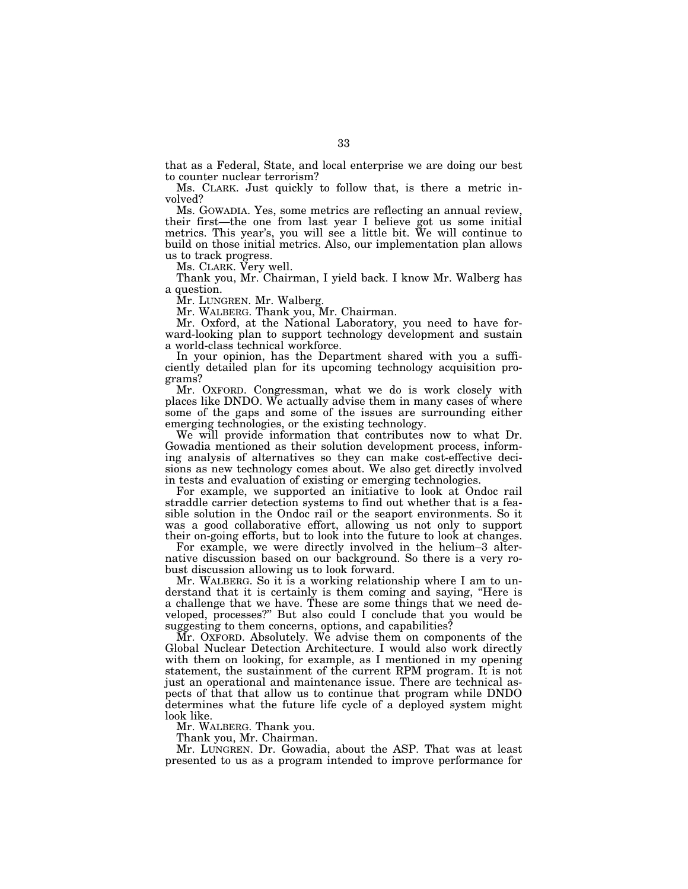that as a Federal, State, and local enterprise we are doing our best to counter nuclear terrorism?

Ms. CLARK. Just quickly to follow that, is there a metric involved?

Ms. GOWADIA. Yes, some metrics are reflecting an annual review, their first—the one from last year I believe got us some initial metrics. This year's, you will see a little bit. We will continue to build on those initial metrics. Also, our implementation plan allows us to track progress.

Ms. CLARK. Very well.

Thank you, Mr. Chairman, I yield back. I know Mr. Walberg has a question.

Mr. LUNGREN. Mr. Walberg.

Mr. WALBERG. Thank you, Mr. Chairman.

Mr. Oxford, at the National Laboratory, you need to have forward-looking plan to support technology development and sustain a world-class technical workforce.

In your opinion, has the Department shared with you a sufficiently detailed plan for its upcoming technology acquisition programs?

Mr. OXFORD. Congressman, what we do is work closely with places like DNDO. We actually advise them in many cases of where some of the gaps and some of the issues are surrounding either emerging technologies, or the existing technology.

We will provide information that contributes now to what Dr. Gowadia mentioned as their solution development process, informing analysis of alternatives so they can make cost-effective decisions as new technology comes about. We also get directly involved in tests and evaluation of existing or emerging technologies.

For example, we supported an initiative to look at Ondoc rail straddle carrier detection systems to find out whether that is a feasible solution in the Ondoc rail or the seaport environments. So it was a good collaborative effort, allowing us not only to support their on-going efforts, but to look into the future to look at changes.

For example, we were directly involved in the helium–3 alternative discussion based on our background. So there is a very robust discussion allowing us to look forward.

Mr. WALBERG. So it is a working relationship where I am to understand that it is certainly is them coming and saying, ''Here is a challenge that we have. These are some things that we need developed, processes?'' But also could I conclude that you would be suggesting to them concerns, options, and capabilities?

Mr. OXFORD. Absolutely. We advise them on components of the Global Nuclear Detection Architecture. I would also work directly with them on looking, for example, as I mentioned in my opening statement, the sustainment of the current RPM program. It is not just an operational and maintenance issue. There are technical aspects of that that allow us to continue that program while DNDO determines what the future life cycle of a deployed system might look like.

Mr. WALBERG. Thank you.

Thank you, Mr. Chairman.

Mr. LUNGREN. Dr. Gowadia, about the ASP. That was at least presented to us as a program intended to improve performance for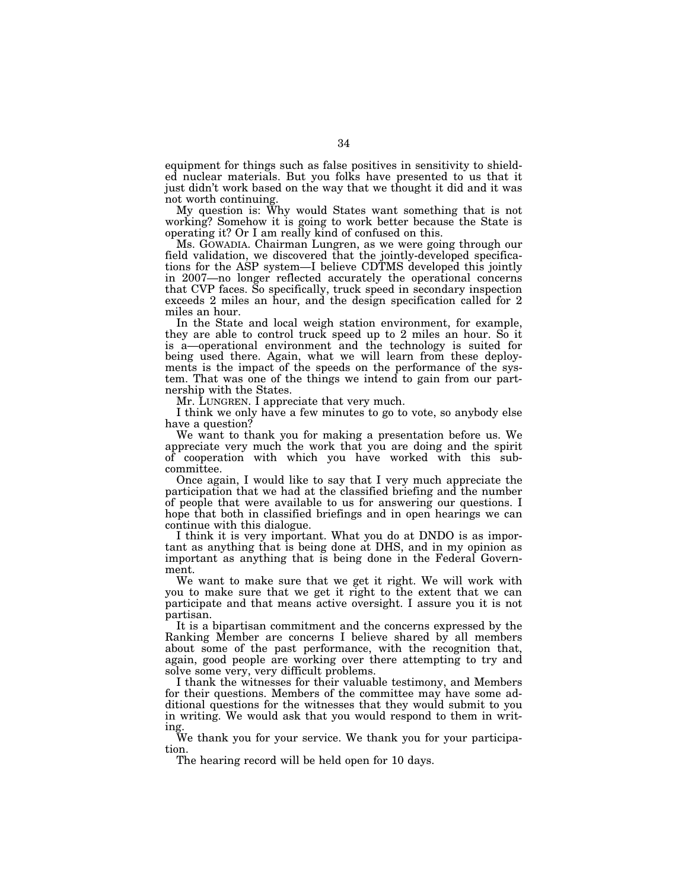equipment for things such as false positives in sensitivity to shielded nuclear materials. But you folks have presented to us that it just didn't work based on the way that we thought it did and it was not worth continuing.

My question is: Why would States want something that is not working? Somehow it is going to work better because the State is operating it? Or I am really kind of confused on this.

Ms. GOWADIA. Chairman Lungren, as we were going through our field validation, we discovered that the jointly-developed specifications for the ASP system—I believe CDTMS developed this jointly in 2007—no longer reflected accurately the operational concerns that CVP faces. So specifically, truck speed in secondary inspection exceeds 2 miles an hour, and the design specification called for 2 miles an hour.

In the State and local weigh station environment, for example, they are able to control truck speed up to 2 miles an hour. So it is a—operational environment and the technology is suited for being used there. Again, what we will learn from these deployments is the impact of the speeds on the performance of the system. That was one of the things we intend to gain from our partnership with the States.

Mr. LUNGREN. I appreciate that very much.

I think we only have a few minutes to go to vote, so anybody else have a question?

We want to thank you for making a presentation before us. We appreciate very much the work that you are doing and the spirit of cooperation with which you have worked with this subcommittee.

Once again, I would like to say that I very much appreciate the participation that we had at the classified briefing and the number of people that were available to us for answering our questions. I hope that both in classified briefings and in open hearings we can continue with this dialogue.

I think it is very important. What you do at DNDO is as important as anything that is being done at DHS, and in my opinion as important as anything that is being done in the Federal Government.

We want to make sure that we get it right. We will work with you to make sure that we get it right to the extent that we can participate and that means active oversight. I assure you it is not partisan.

It is a bipartisan commitment and the concerns expressed by the Ranking Member are concerns I believe shared by all members about some of the past performance, with the recognition that, again, good people are working over there attempting to try and solve some very, very difficult problems.

I thank the witnesses for their valuable testimony, and Members for their questions. Members of the committee may have some additional questions for the witnesses that they would submit to you in writing. We would ask that you would respond to them in writing.

We thank you for your service. We thank you for your participation.

The hearing record will be held open for 10 days.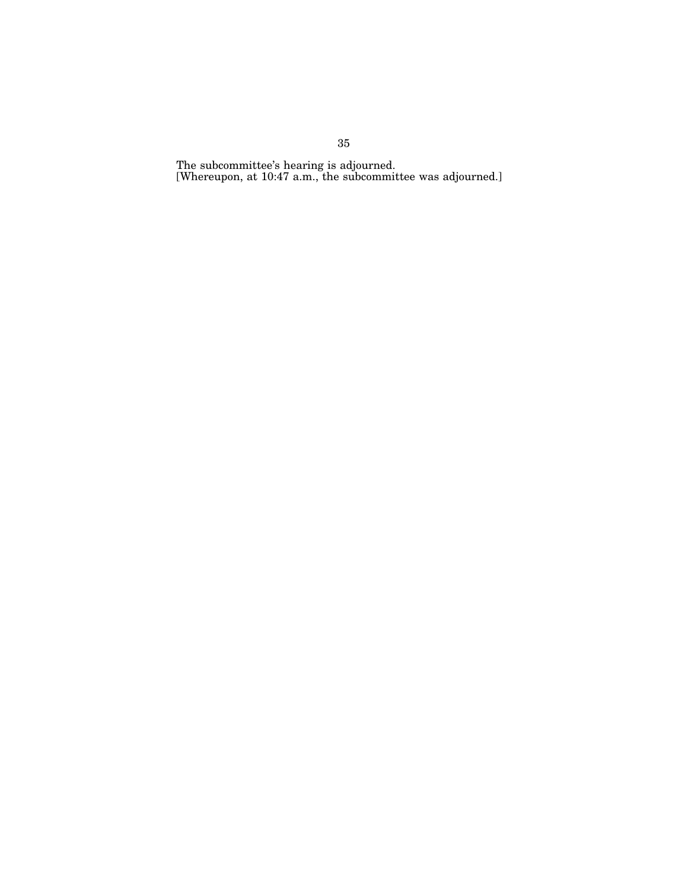The subcommittee's hearing is adjourned. [Whereupon, at 10:47 a.m., the subcommittee was adjourned.]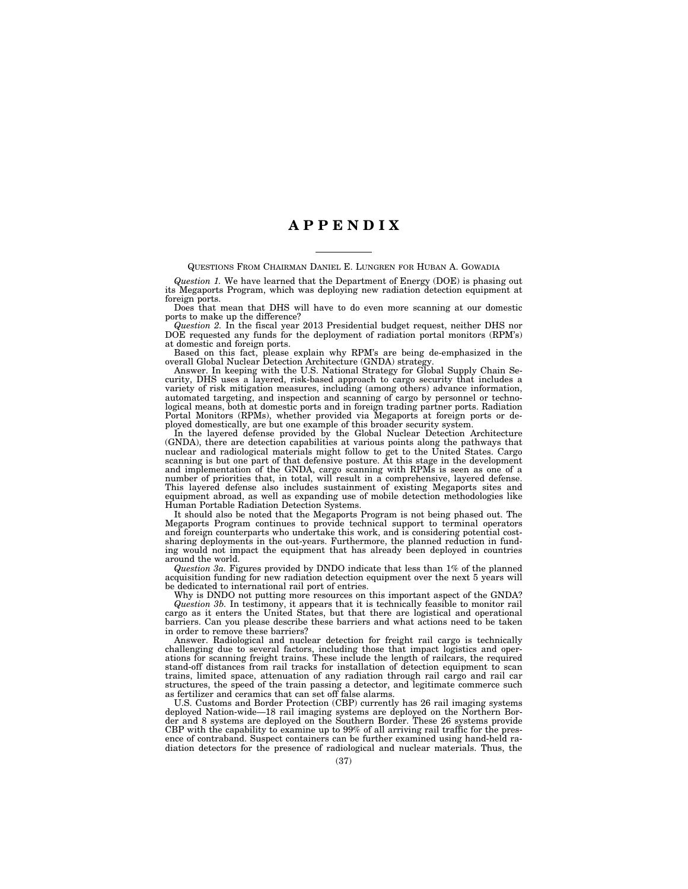### **A P P E N D I X**

QUESTIONS FROM CHAIRMAN DANIEL E. LUNGREN FOR HUBAN A. GOWADIA

*Question 1.* We have learned that the Department of Energy (DOE) is phasing out its Megaports Program, which was deploying new radiation detection equipment at foreign ports.

Does that mean that DHS will have to do even more scanning at our domestic ports to make up the difference?

*Question 2.* In the fiscal year 2013 Presidential budget request, neither DHS nor DOE requested any funds for the deployment of radiation portal monitors (RPM's) at domestic and foreign ports.

Based on this fact, please explain why RPM's are being de-emphasized in the overall Global Nuclear Detection Architecture (GNDA) strategy.

Answer. In keeping with the U.S. National Strategy for Global Supply Chain Security, DHS uses a layered, risk-based approach to cargo security that includes a variety of risk mitigation measures, including (among others) advance information, automated targeting, and inspection and scanning of cargo by personnel or technological means, both at domestic ports and in foreign trading partner ports. Radiation Portal Monitors (RPMs), whether provided via Megaports at foreign ports or deployed domestically, are but one example of this broader security system.

In the layered defense provided by the Global Nuclear Detection Architecture (GNDA), there are detection capabilities at various points along the pathways that nuclear and radiological materials might follow to get to the United States. Cargo scanning is but one part of that defensive posture. At this stage in the development and implementation of the GNDA, cargo scanning with RPMs is seen as one of a number of priorities that, in total, will result in a comprehensive, layered defense. This layered defense also includes sustainment of existing Megaports sites and equipment abroad, as well as expanding use of mobile detection methodologies like Human Portable Radiation Detection Systems.

It should also be noted that the Megaports Program is not being phased out. The Megaports Program continues to provide technical support to terminal operators and foreign counterparts who undertake this work, and is considering potential costsharing deployments in the out-years. Furthermore, the planned reduction in funding would not impact the equipment that has already been deployed in countries around the world.

*Question 3a.* Figures provided by DNDO indicate that less than 1% of the planned acquisition funding for new radiation detection equipment over the next 5 years will be dedicated to international rail port of entries.

Why is DNDO not putting more resources on this important aspect of the GNDA? *Question 3b.* In testimony, it appears that it is technically feasible to monitor rail cargo as it enters the United States, but that there are logistical and operational barriers. Can you please describe these barriers and what actions need to be taken in order to remove these barriers?

Answer. Radiological and nuclear detection for freight rail cargo is technically challenging due to several factors, including those that impact logistics and operations for scanning freight trains. These include the length of railcars, the required stand-off distances from rail tracks for installation of detection equipment to scan trains, limited space, attenuation of any radiation through rail cargo and rail car structures, the speed of the train passing a detector, and legitimate commerce such as fertilizer and ceramics that can set off false alarms.

U.S. Customs and Border Protection (CBP) currently has 26 rail imaging systems deployed Nation-wide—18 rail imaging systems are deployed on the Northern Border and 8 systems are deployed on the Southern Border. These 26 systems provide CBP with the capability to examine up to 99% of all arriving rail traffic for the presence of contraband. Suspect containers can be further examined using hand-held radiation detectors for the presence of radiological and nuclear materials. Thus, the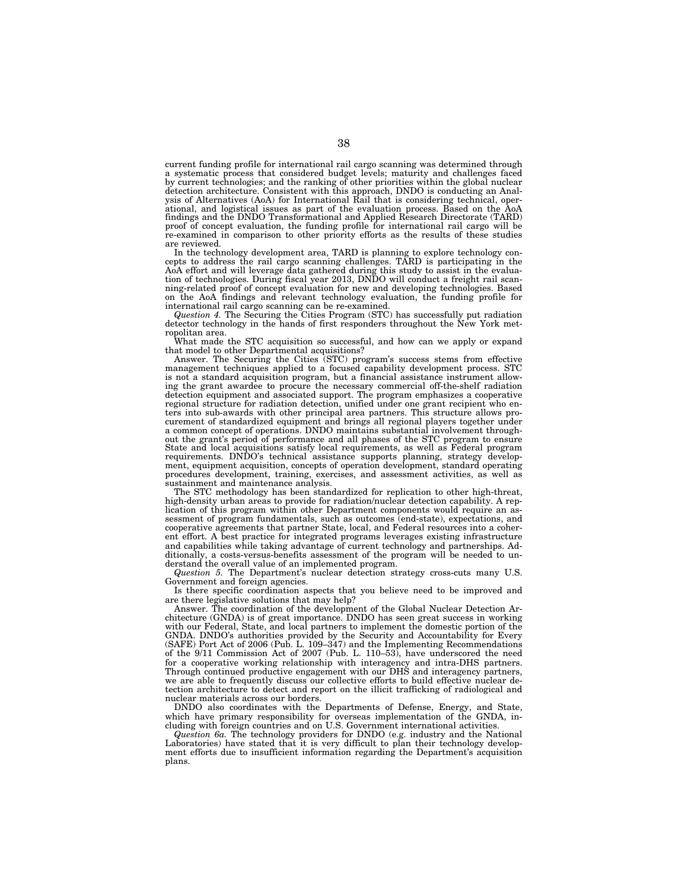current funding profile for international rail cargo scanning was determined through a systematic process that considered budget levels; maturity and challenges faced by current technologies; and the ranking of other priorities within the global nuclear detection architecture. Consistent with this approach, DNDO is conducting an Analysis of Alternatives (AoA) for International Rail that is considering technical, operational, and logistical issues as part of the evaluation process. Based on the AoA findings and the DNDO Transformational and Applied Research Directorate (TARD) proof of concept evaluation, the funding profile for international rail cargo will be re-examined in comparison to other priority efforts as the results of these studies are reviewed.

In the technology development area, TARD is planning to explore technology concepts to address the rail cargo scanning challenges. TARD is participating in the AoA effort and will leverage data gathered during this study to assist in the evaluation of technologies. During fiscal year 2013, DNDO will on the AoA findings and relevant technology evaluation, the funding profile for international rail cargo scanning can be re-examined.

*Question 4.* The Securing the Cities Program (STC) has successfully put radiation detector technology in the hands of first responders throughout the New York met-

ropolitan area. What made the STC acquisition so successful, and how can we apply or expand

that model to other Departmental acquisitions? Answer. The Securing the Cities (STC) program's success stems from effective management techniques applied to a focused capability development process. STC is not a standard acquisition program, but a financial assistance instrument allowing the grant awardee to procure the necessary commercial off-the-shelf radiation detection equipment and associated support. The program emphasizes a cooperative<br>regional structure for radiation detection, unified under one grant recipient who en-<br>ters into sub-awards with other principal area partners curement of standardized equipment and brings all regional players together under a common concept of operations. DNDO maintains substantial involvement throughout the grant's period of performance and all phases of the STC program to ensure State and local acquisitions satisfy local requirements, as well as Federal program<br>requirements. DNDO's technical assistance supports planning, strategy develop-<br>ment, equipment acquisition, concepts of operation developm procedures development, training, exercises, and assessment activities, as well as sustainment and maintenance analysis.

The STC methodology has been standardized for replication to other high-threat, high-density urban areas to provide for radiation/nuclear detection capability. A replication of this program within other Department components would require an assessment of program fundamentals, such as outcomes (end-state), expectations, and cooperative agreements that partner State, local, and Federal resources into a coherent effort. A best practice for integrated programs leverages existing infrastructure and capabilities while taking advantage of current technology and partnerships. Additionally, a costs-versus-benefits assessment of the program will be needed to understand the overall value of an implemented program.

*Question 5.* The Department's nuclear detection strategy cross-cuts many U.S. Government and foreign agencies.

Is there specific coordination aspects that you believe need to be improved and are there legislative solutions that may help?

Answer. The coordination of the development of the Global Nuclear Detection Architecture (GNDA) is of great importance. DNDO has seen great success in working with our Federal, State, and local partners to implement the domestic portion of the GNDA. DNDO's authorities provided by the Security and Accountability for Every (SAFE) Port Act of 2006 (Pub. L. 109–347) and the Implementing Recommendations of the 9/11 Commission Act of 2007 (Pub. L. 110–53), have underscored the need for a cooperative working relationship with interagency and intra-DHS partners. Through continued productive engagement with our DHS and interagency partners, we are able to frequently discuss our collective efforts to build effective nuclear detection architecture to detect and report on the illicit trafficking of radiological and nuclear materials across our borders.

DNDO also coordinates with the Departments of Defense, Energy, and State, which have primary responsibility for overseas implementation of the GNDA, including with foreign countries and on U.S. Government international activities.

*Question 6a.* The technology providers for DNDO (e.g. industry and the National Laboratories) have stated that it is very difficult to plan their technology development efforts due to insufficient information regarding the Department's acquisition plans.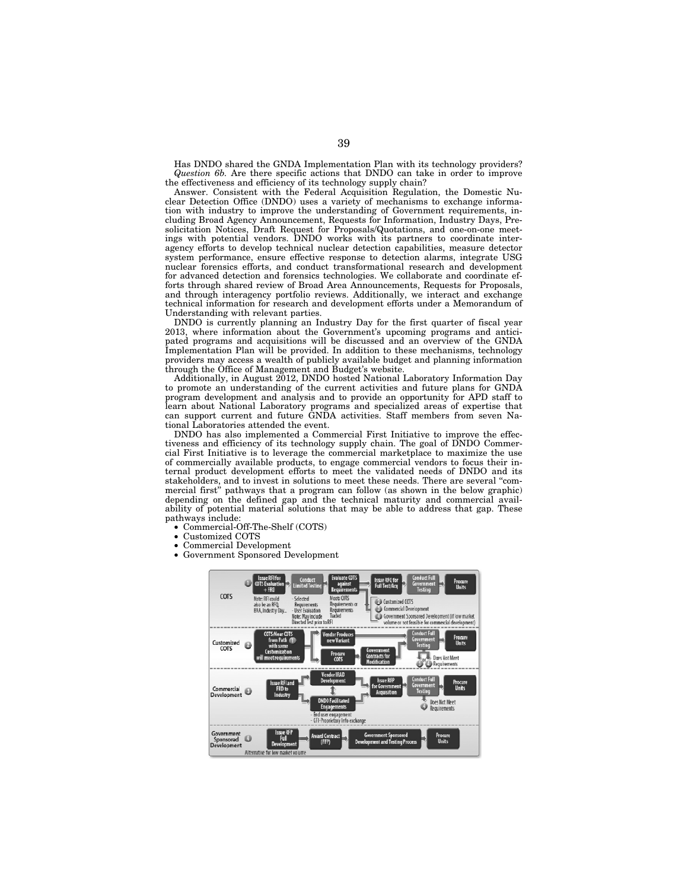Has DNDO shared the GNDA Implementation Plan with its technology providers? *Question 6b.* Are there specific actions that DNDO can take in order to improve the effectiveness and efficiency of its technology supply chain?

Answer. Consistent with the Federal Acquisition Regulation, the Domestic Nuclear Detection Office (DNDO) uses a variety of mechanisms to exchange information with industry to improve the understanding of Government requirements, including Broad Agency Announcement, Requests for Information, Industry Days, Presolicitation Notices, Draft Request for Proposals/Quotations, and one-on-one meetings with potential vendors. DNDO works with its partners to coordinate interagency efforts to develop technical nuclear detection capabilities, measure detector system performance, ensure effective response to detection alarms, integrate USG nuclear forensics efforts, and conduct transformational research and development for advanced detection and forensics technologies. We collaborate and coordinate efforts through shared review of Broad Area Announcements, Requests for Proposals, and through interagency portfolio reviews. Additionally, we interact and exchange technical information for research and development efforts under a Memorandum of Understanding with relevant parties.

DNDO is currently planning an Industry Day for the first quarter of fiscal year 2013, where information about the Government's upcoming programs and anticipated programs and acquisitions will be discussed and an overview of the GNDA Implementation Plan will be provided. In addition to these mechanisms, technology providers may access a wealth of publicly available budget and planning information through the Office of Management and Budget's website.

Additionally, in August 2012, DNDO hosted National Laboratory Information Day to promote an understanding of the current activities and future plans for GNDA program development and analysis and to provide an opportunity for APD staff to learn about National Laboratory programs and specialized areas of expertise that can support current and future GNDA activities. Staff members from seven National Laboratories attended the event.

DNDO has also implemented a Commercial First Initiative to improve the effectiveness and efficiency of its technology supply chain. The goal of DNDO Commercial First Initiative is to leverage the commercial marketplace to maximize the use of commercially available products, to engage commercial vendors to focus their internal product development efforts to meet the validated needs of DNDO and its stakeholders, and to invest in solutions to meet these needs. There are several ''commercial first'' pathways that a program can follow (as shown in the below graphic) depending on the defined gap and the technical maturity and commercial availability of potential material solutions that may be able to address that gap. These pathways include:

- Commercial-Off-The-Shelf (COTS)
- Customized COTS
- Commercial Development
- Government Sponsored Development

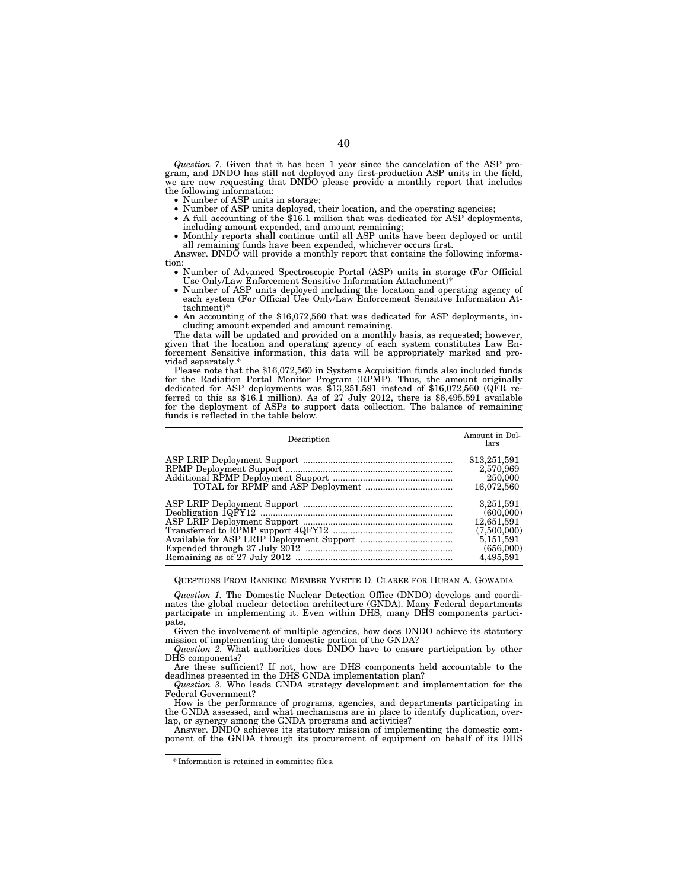*Question 7.* Given that it has been 1 year since the cancelation of the ASP program, and DNDO has still not deployed any first-production ASP units in the field, we are now requesting that DNDO please provide a monthly report that includes the following information:

- Number of ASP units in storage;
- Number of ASP units deployed, their location, and the operating agencies;
- A full accounting of the \$16.1 million that was dedicated for ASP deployments, including amount expended, and amount remaining;
- Monthly reports shall continue until all ASP units have been deployed or until all remaining funds have been expended, whichever occurs first.

Answer. DNDO will provide a monthly report that contains the following information:

• Number of Advanced Spectroscopic Portal (ASP) units in storage (For Official Use Only/Law Enforcement Sensitive Information Attachment)\*

- Number of ASP units deployed including the location and operating agency of each system (For Official Use Only/Law Enforcement Sensitive Information Attachment)\*
- An accounting of the \$16,072,560 that was dedicated for ASP deployments, including amount expended and amount remaining.

The data will be updated and provided on a monthly basis, as requested; however, given that the location and operating agency of each system constitutes Law Enforcement Sensitive information, this data will be appropriately marked and provided separately.\*

Please note that the \$16,072,560 in Systems Acquisition funds also included funds for the Radiation Portal Monitor Program (RPMP). Thus, the amount originally dedicated for ASP deployments was \$13,251,591 instead of \$16,072,560 (QFR referred to this as \$16.1 million). As of  $27$  July 2012, there is \$6,495,591 available for the deployment of ASPs to support data collection. The balance of remaining funds is reflected in the table below.

| Description | Amount in Dol-<br>lars                                                                     |
|-------------|--------------------------------------------------------------------------------------------|
|             | \$13,251,591<br>2,570,969<br>250,000<br>16,072,560                                         |
|             | 3,251,591<br>(600,000)<br>12,651,591<br>(7,500,000)<br>5,151,591<br>(656,000)<br>4,495,591 |

#### QUESTIONS FROM RANKING MEMBER YVETTE D. CLARKE FOR HUBAN A. GOWADIA

*Question 1.* The Domestic Nuclear Detection Office (DNDO) develops and coordinates the global nuclear detection architecture (GNDA). Many Federal departments participate in implementing it. Even within DHS, many DHS components participate,

Given the involvement of multiple agencies, how does DNDO achieve its statutory mission of implementing the domestic portion of the GNDA?

*Question 2.* What authorities does DNDO have to ensure participation by other DHS components?

Are these sufficient? If not, how are DHS components held accountable to the deadlines presented in the DHS GNDA implementation plan?

*Question 3.* Who leads GNDA strategy development and implementation for the Federal Government?

How is the performance of programs, agencies, and departments participating in the GNDA assessed, and what mechanisms are in place to identify duplication, overlap, or synergy among the GNDA programs and activities?

Answer. DNDO achieves its statutory mission of implementing the domestic component of the GNDA through its procurement of equipment on behalf of its DHS

<sup>\*</sup> Information is retained in committee files.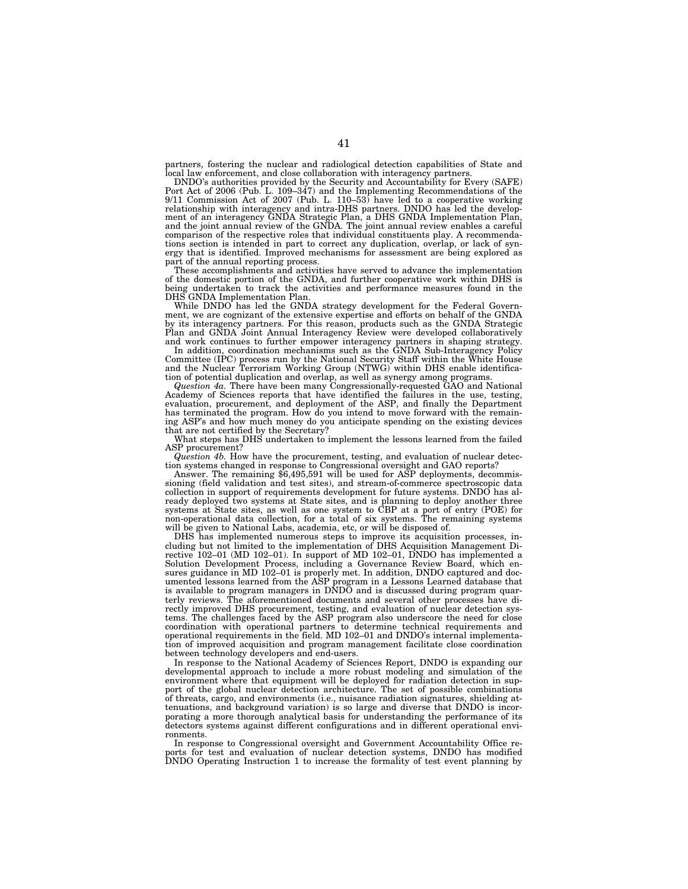partners, fostering the nuclear and radiological detection capabilities of State and local law enforcement, and close collaboration with interagency partners.

DNDO's authorities provided by the Security and Accountability for Every (SAFE)<br>Port Act of 2006 (Pub. L. 109–347) and the Implementing Recommendations of the<br>9/11 Commission Act of 2007 (Pub. L. 110–53) have led to a coop comparison of the respective roles that individual constituents play. A recommendations section is intended in part to correct any duplication, overlap, or lack of synergy that is identified. Improved mechanisms for assessment are being explored as part of the annual reporting process.

These accomplishments and activities have served to advance the implementation of the domestic portion of the GNDA, and further cooperative work within DHS is being undertaken to track the activities and performance measures found in the DHS GNDA Implementation Plan. While DNDO has led the GNDA strategy development for the Federal Govern-

ment, we are cognizant of the extensive expertise and efforts on behalf of the GNDA by its interagency partners. For this reason, products such as the GNDA Strategic<br>Plan and GNDA Joint Annual Interagency Review were developed collaboratively<br>and work continues to further empower interagency partners in s

and the Nuclear Terrorism Working Group (NTWG) within DHS enable identifica-tion of potential duplication and overlap, as well as synergy among programs.

*Question 4a.* There have been many Congressionally-requested GAO and National Academy of Sciences reports that have identified the failures in the use, testing, evaluation, procurement, and deployment of the ASP, and finally the Department has terminated the program. How do you intend to move forward with the remaining ASP's and how much money do you anticipate spending on the existing devices that are not certified by the Secretary?

What steps has DHS undertaken to implement the lessons learned from the failed ASP procurement?

Question 4b. How have the procurement, testing, and evaluation of nuclear detection systems changed in response to Congressional oversight and GAO reports?<br>Answer. The remaining \$6,495,591 will be used for ASP deployments,

sioning (field validation and test sites), and stream-of-commerce spectroscopic data collection in support of requirements development for future systems. DNDO has already deployed two systems at State sites, and is planning to deploy another three<br>systems at State sites, as well as one system to CBP at a port of entry (POE) for<br>non-operational data collection, for a total of six syste will be given to National Labs, academia, etc, or will be disposed of.

DHS has implemented numerous steps to improve its acquisition processes, including but not limited to the implementation of DHS Acquisition Management Directive 102–01 (MD 102–01). In support of MD 102–01, DNDO has implemented a Solution Development Process, including a Governance Review Board, which ensures guidance in MD 102–01 is properly met. In addition, DNDO captured and documented lessons learned from the ASP program in a Lessons Learned database that is available to program managers in DNDO and is discussed during program quarterly reviews. The aforementioned documents and several other processes have directly improved DHS procurement, testing, and evaluation of nuclear detection systems. The challenges faced by the ASP program also underscore the need for close coordination with operational partners to determine technical requirements and operational requirements in the field. MD 102–01 and DNDO's internal implementation of improved acquisition and program management facilitate close coordination between technology developers and end-users.

In response to the National Academy of Sciences Report, DNDO is expanding developmental approach to include a more robust modeling and simulation of the environment where that equipment will be deployed for radiation detection in support of the global nuclear detection architecture. The set of possible combinations of threats, cargo, and environments (i.e., nuisance radiation signatures, shielding attenuations, and background variation) is so large and diverse that DNDO is incorporating a more thorough analytical basis for understanding the performance of its detectors systems against different configurations and in different operational environments.

In response to Congressional oversight and Government Accountability Office reports for test and evaluation of nuclear detection systems, DNDO has modified DNDO Operating Instruction 1 to increase the formality of test event planning by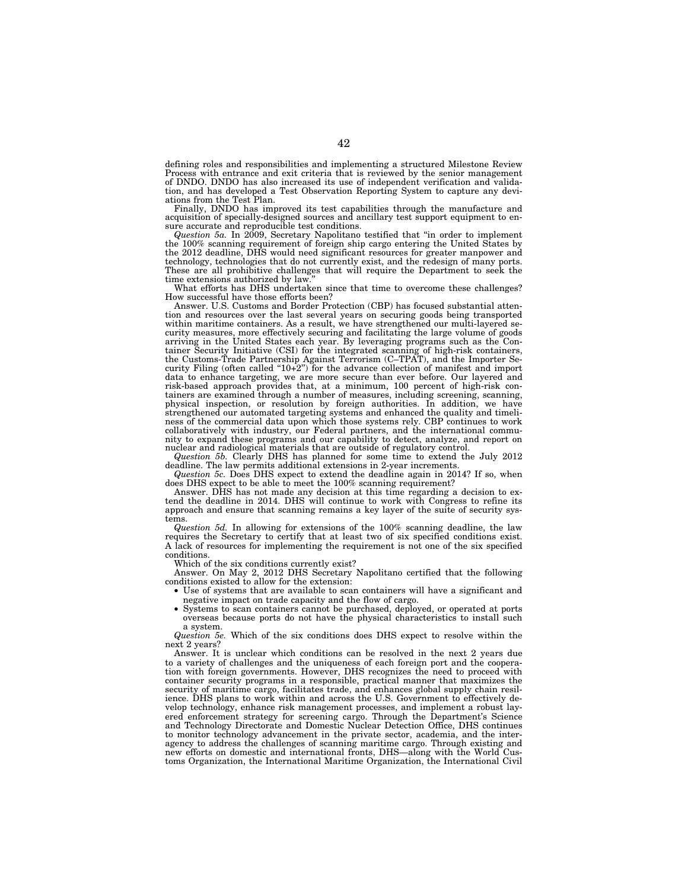defining roles and responsibilities and implementing a structured Milestone Review Process with entrance and exit criteria that is reviewed by the senior management of DNDO. DNDO has also increased its use of independent verification and validation, and has developed a Test Observation Reporting System to capture any deviations from the Test Plan.

Finally, DNDO has improved its test capabilities through the manufacture and acquisition of specially-designed sources and ancillary test support equipment to ensure accurate and reproducible test conditions.

*Question 5a.* In 2009, Secretary Napolitano testified that ''in order to implement the 100% scanning requirement of foreign ship cargo entering the United States by the 2012 deadline, DHS would need significant resources for greater manpower and technology, technologies that do not currently exist, and the redesign of many ports. These are all prohibitive challenges that will require the Department to seek the time extensions authorized by law.'' What efforts has DHS undertaken since that time to overcome these challenges?

How successful have those efforts been?

Answer. U.S. Customs and Border Protection (CBP) has focused substantial attention and resources over the last several years on securing goods being transported within maritime containers. As a result, we have strengthened our multi-layered security measures, more effectively securing and facilitating the large volume of goods arriving in the United States each year. By leveraging programs such as the Container Security Initiative (CSI) for the integrated scanning of high-risk containers, the Customs-Trade Partnership Against Terrorism (C–TPAT), and the Importer Security Filing (often called ''10+2'') for the advance collection of manifest and import data to enhance targeting, we are more secure than ever before. Our layered and risk-based approach provides that, at a minimum, 100 percent of high-risk containers are examined through a number of measures, including screening, scanning, physical inspection, or resolution by foreign authorities. In addition, we have<br>strengthened our automated targeting systems and enhanced the quality and timeli-<br>ness of the commercial data upon which those systems rely. C collaboratively with industry, our Federal partners, and the international community to expand these programs and our capability to detect, analyze, and report on nuclear and radiological materials that are outside of regulatory control.

*Question 5b.* Clearly DHS has planned for some time to extend the July 2012 deadline. The law permits additional extensions in 2-year increments.

*Question 5c.* Does DHS expect to extend the deadline again in 2014? If so, when does DHS expect to be able to meet the 100% scanning requirement?

Answer. DHS has not made any decision at this time regarding a decision to extend the deadline in 2014. DHS will continue to work with Congress to refine its approach and ensure that scanning remains a key layer of the suite of security systems.

*Question 5d.* In allowing for extensions of the 100% scanning deadline, the law requires the Secretary to certify that at least two of six specified conditions exist. A lack of resources for implementing the requirement is not one of the six specified conditions.

Which of the six conditions currently exist?

Answer. On May 2, 2012 DHS Secretary Napolitano certified that the following conditions existed to allow for the extension:

- Use of systems that are available to scan containers will have a significant and negative impact on trade capacity and the flow of cargo.
- Systems to scan containers cannot be purchased, deployed, or operated at ports overseas because ports do not have the physical characteristics to install such a system.

*Question 5e.* Which of the six conditions does DHS expect to resolve within the next 2 years?

Answer. It is unclear which conditions can be resolved in the next 2 years due to a variety of challenges and the uniqueness of each foreign port and the cooperation with foreign governments. However, DHS recognizes the need to proceed with container security programs in a responsible, practical manner that maximizes the security of maritime cargo, facilitates trade, and enhances global supply chain resilience. DHS plans to work within and across the U.S. Government to effectively develop technology, enhance risk management processes, and implement a robust layered enforcement strategy for screening cargo. Through the Department's Science and Technology Directorate and Domestic Nuclear Detection Office, DHS continues to monitor technology advancement in the private sector, academia, and the interagency to address the challenges of scanning maritime cargo. Through existing and new efforts on domestic and international fronts, DHS—along with the World Customs Organization, the International Maritime Organization, the International Civil